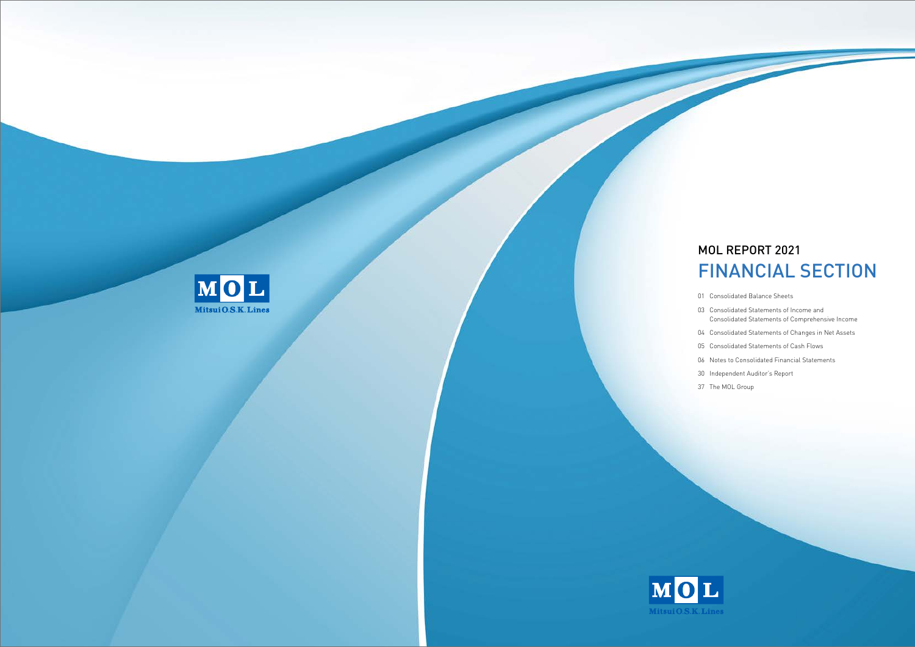



# FINANCIAL SECTION MOL REPORT 2021

- 01 Consolidated Balance Sheets
- 03 Consolidated Statements of Income and Consolidated Statements of Comprehensive Income
- 04 Consolidated Statements of Changes in Net Assets
- 05 Consolidated Statements of Cash Flows
- 06 Notes to Consolidated Financial Statements
- 30 Independent Auditor's Report
- 37 The MOL Group

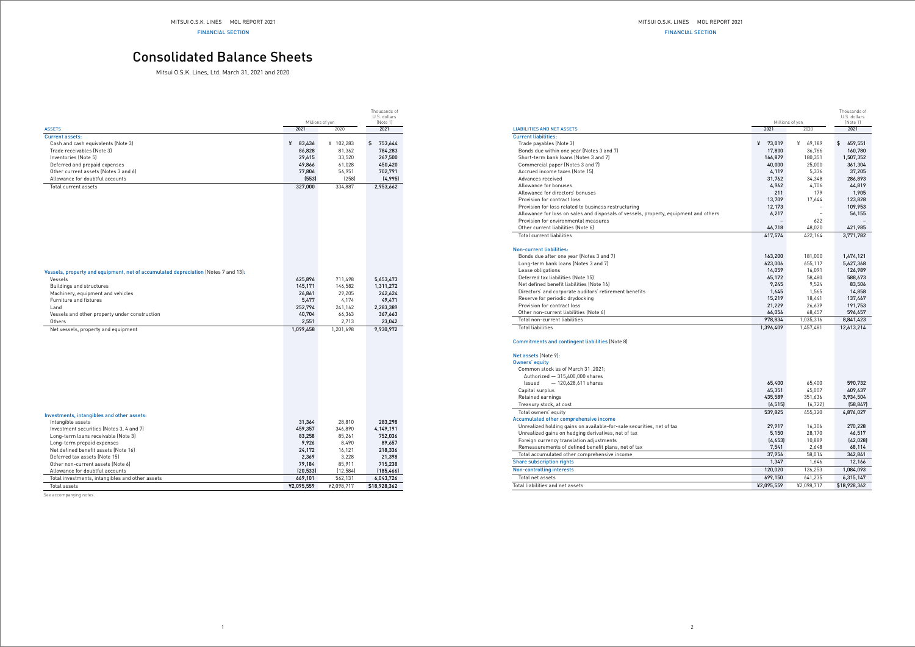See accompanying notes.

|                                                                                    |            |                 | Thousands of             |                                                                                      |                          |                          | Thousands of             |
|------------------------------------------------------------------------------------|------------|-----------------|--------------------------|--------------------------------------------------------------------------------------|--------------------------|--------------------------|--------------------------|
|                                                                                    |            | Millions of yen | U.S. dollars<br>(Note 1) |                                                                                      |                          | Millions of yen          | U.S. dollars<br>[Note 1] |
| <b>ASSETS</b>                                                                      | 2021       | 2020            | 2021                     | <b>LIABILITIES AND NET ASSETS</b>                                                    | 2021                     | 2020                     | 2021                     |
| <b>Current assets:</b>                                                             |            |                 |                          | <b>Current liabilities:</b>                                                          |                          |                          |                          |
| Cash and cash equivalents (Note 3)                                                 | 83,436     | ¥ 102,283       | 753,644<br>\$            | Trade payables (Note 3)                                                              | ¥ 73,019                 | 69,189<br>¥              | 659,551                  |
| Trade receivables (Note 3)                                                         | 86.828     | 81,362          | 784.283                  | Bonds due within one year (Notes 3 and 7)                                            | 17,800                   | 36.766                   | 160.780                  |
| Inventories (Note 5)                                                               | 29,615     | 33,520          | 267,500                  | Short-term bank loans (Notes 3 and 7)                                                | 166,879                  | 180,351                  | 1,507,352                |
|                                                                                    | 49.866     | 61,028          |                          |                                                                                      |                          | 25,000                   |                          |
| Deferred and prepaid expenses                                                      |            |                 | 450,420                  | Commercial paper (Notes 3 and 7)                                                     | 40,000                   |                          | 361,304                  |
| Other current assets (Notes 3 and 6)                                               | 77,806     | 56,951          | 702,791                  | Accrued income taxes (Note 15)                                                       | 4,119                    | 5,336                    | 37,205                   |
| Allowance for doubtful accounts                                                    | (553)      | (258)           | (4,995)                  | Advances received                                                                    | 31,762                   | 34,348                   | 286,893                  |
| Total current assets                                                               | 327,000    | 334,887         | 2,953,662                | Allowance for bonuses                                                                | 4,962                    | 4,706                    | 44,819                   |
|                                                                                    |            |                 |                          | Allowance for directors' bonuses                                                     | 211                      | 179                      | 1,905                    |
|                                                                                    |            |                 |                          | Provision for contract loss                                                          | 13,709                   | 17,644                   | 123,828                  |
|                                                                                    |            |                 |                          | Provision for loss related to business restructuring                                 | 12,173                   | ÷,                       | 109,953                  |
|                                                                                    |            |                 |                          | Allowance for loss on sales and disposals of vessels, property, equipment and others | 6,217                    | $\overline{\phantom{a}}$ | 56,155                   |
|                                                                                    |            |                 |                          | Provision for environmental measures                                                 | $\overline{\phantom{a}}$ | 622                      |                          |
|                                                                                    |            |                 |                          | Other current liabilities (Note 6)                                                   | 46,718                   | 48,020                   | 421,985                  |
|                                                                                    |            |                 |                          | Total current liabilities                                                            | 417,574                  | 422,164                  | 3,771,782                |
|                                                                                    |            |                 |                          | <b>Non-current liabilities:</b>                                                      |                          |                          |                          |
|                                                                                    |            |                 |                          | Bonds due after one year (Notes 3 and 7)                                             | 163,200                  | 181,000                  | 1,474,121                |
|                                                                                    |            |                 |                          | Long-term bank loans (Notes 3 and 7)                                                 | 623,006                  | 655,117                  | 5,627,368                |
|                                                                                    |            |                 |                          | Lease obligations                                                                    | 14,059                   | 16,091                   | 126,989                  |
| Vessels, property and equipment, net of accumulated depreciation (Notes 7 and 13): |            |                 |                          | Deferred tax liabilities (Note 15)                                                   | 65,172                   | 58.480                   | 588,673                  |
| Vessels                                                                            | 625,896    | 711,498         | 5,653,473                | Net defined benefit liabilities (Note 16)                                            | 9,245                    | 9,524                    | 83,506                   |
| Buildings and structures                                                           | 145.171    | 146,582         | 1,311,272                | Directors' and corporate auditors' retirement benefits                               | 1,645                    | 1,565                    | 14,858                   |
| Machinery, equipment and vehicles                                                  | 26.861     | 29,205          | 242,624                  |                                                                                      | 15,219                   | 18,441                   | 137,467                  |
| Furniture and fixtures                                                             | 5,477      | 4,174           | 49,471                   | Reserve for periodic drydocking                                                      |                          |                          |                          |
| Land                                                                               | 252,794    | 241,162         | 2,283,389                | Provision for contract loss                                                          | 21,229                   | 26,639                   | 191,753                  |
| Vessels and other property under construction                                      | 40,704     | 66,363          | 367,663                  | Other non-current liabilities (Note 6)                                               | 66,056                   | 68,457                   | 596,657                  |
| Others                                                                             | 2,551      | 2,713           | 23,042                   | Total non-current liabilities                                                        | 978,834                  | 1,035,316                | 8,841,423                |
| Net vessels, property and equipment                                                | 1,099,458  | 1,201,698       | 9,930,972                | Total liabilities                                                                    | 1,396,409                | 1,457,481                | 12,613,214               |
|                                                                                    |            |                 |                          | <b>Commitments and contingent liabilities (Note 8)</b>                               |                          |                          |                          |
|                                                                                    |            |                 |                          | Net assets (Note 9):                                                                 |                          |                          |                          |
|                                                                                    |            |                 |                          | Owners' equity                                                                       |                          |                          |                          |
|                                                                                    |            |                 |                          | Common stock as of March 31, 2021;                                                   |                          |                          |                          |
|                                                                                    |            |                 |                          | Authorized - 315.400.000 shares                                                      |                          |                          |                          |
|                                                                                    |            |                 |                          | $-120,628,611$ shares<br>Issued                                                      | 65,400                   | 65,400                   | 590,732                  |
|                                                                                    |            |                 |                          | Capital surplus                                                                      | 45,351                   | 45,007                   | 409,637                  |
|                                                                                    |            |                 |                          | Retained earnings                                                                    | 435,589                  | 351,636                  | 3,934,504                |
|                                                                                    |            |                 |                          | Treasury stock, at cost                                                              | (6, 515)                 | (6, 722)                 | (58, 847)                |
|                                                                                    |            |                 |                          | Total owners' equity                                                                 | 539,825                  | 455,320                  | 4,876,027                |
| Investments, intangibles and other assets:                                         |            |                 |                          | Accumulated other comprehensive income                                               |                          |                          |                          |
| Intangible assets                                                                  | 31.364     | 28,810          | 283,298                  | Unrealized holding gains on available-for-sale securities, net of tax                | 29,917                   | 16,306                   | 270,228                  |
| Investment securities (Notes 3, 4 and 7)                                           | 459.357    | 346,890         | 4,149,191                | Unrealized gains on hedging derivatives, net of tax                                  | 5,150                    | 28,170                   | 46,517                   |
| Long-term loans receivable (Note 3)                                                | 83.258     | 85,261          | 752,036                  | Foreign currency translation adjustments                                             | (4,653)                  | 10,889                   | (42, 028)                |
| Long-term prepaid expenses                                                         | 9,926      | 8,490           | 89,657                   | Remeasurements of defined benefit plans, net of tax                                  | 7.541                    | 2.648                    | 68.114                   |
| Net defined benefit assets (Note 16)                                               | 24,172     | 16,121          | 218,336                  | Total accumulated other comprehensive income                                         | 37,956                   | 58,014                   | 342,841                  |
| Deferred tax assets (Note 15)                                                      | 2,369      | 3,228           | 21,398                   |                                                                                      |                          |                          |                          |
| Other non-current assets (Note 6)                                                  | 79,184     | 85,911          | 715,238                  | <b>Share subscription rights</b>                                                     | 1,347                    | 1,646                    | 12,166                   |
| Allowance for doubtful accounts                                                    | (20, 533)  | (12, 584)       | (185, 466)               | Non-controlling interests                                                            | 120,020                  | 126,253                  | 1,084,093                |
| Total investments, intangibles and other assets                                    | 669,101    | 562,131         | 6,043,726                | Total net assets                                                                     | 699,150                  | 641,235                  | 6,315,147                |
| Total assets                                                                       | ¥2,095,559 | ¥2,098,717      | \$18,928,362             | Total liabilities and net assets                                                     | ¥2,095,559               | ¥2,098,717               | \$18,928,362             |

Mitsui O.S.K. Lines, Ltd. March 31, 2021 and 2020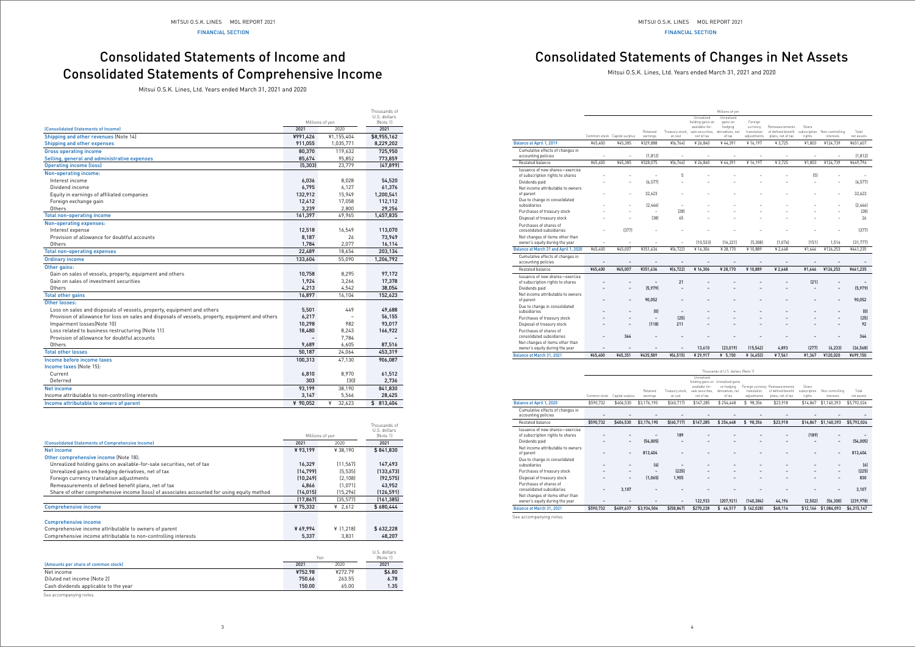|                                                                                                   |          |                 | Thousands of             |
|---------------------------------------------------------------------------------------------------|----------|-----------------|--------------------------|
|                                                                                                   |          | Millions of yen | U.S. dollars<br>(Note 1) |
| <b>Consolidated Statements of Incomel</b>                                                         | 2021     | 2020            | 2021                     |
| Shipping and other revenues (Note 14)                                                             | ¥991,426 | ¥1,155,404      | \$8,955,162              |
| Shipping and other expenses                                                                       | 911,055  | 1,035,771       | 8,229,202                |
| <b>Gross operating income</b>                                                                     | 80,370   | 119,632         | 725,950                  |
| Selling, general and administrative expenses                                                      | 85,674   | 95,852          | 773,859                  |
| <b>Operating income (loss)</b>                                                                    | (5, 303) | 23.779          | (47, 899)                |
| Non-operating income:                                                                             |          |                 |                          |
| Interest income                                                                                   | 6,036    | 8,028           | 54,520                   |
| Dividend income                                                                                   | 6,795    | 6.127           | 61,376                   |
| Equity in earnings of affiliated companies                                                        | 132,912  | 15,949          | 1,200,541                |
| Foreign exchange gain                                                                             | 12,412   | 17,058          | 112,112                  |
| Others                                                                                            | 3,239    | 2,800           | 29,256                   |
| <b>Total non-operating income</b>                                                                 | 161,397  | 49,965          | 1,457,835                |
| Non-operating expenses:                                                                           |          |                 |                          |
| Interest expense                                                                                  | 12,518   | 16,549          | 113,070                  |
| Provision of allowance for doubtful accounts                                                      | 8,187    | 26              | 73,949                   |
| Others                                                                                            | 1,784    | 2,077           | 16,114                   |
| <b>Total non-operating expenses</b>                                                               | 22,489   | 18,654          | 203,134                  |
| <b>Ordinary income</b>                                                                            | 133,604  | 55,090          | 1,206,792                |
| Other gains:                                                                                      |          |                 |                          |
| Gain on sales of vessels, property, equipment and others                                          | 10,758   | 8,295           | 97,172                   |
| Gain on sales of investment securities                                                            | 1,924    | 3,266           | 17,378                   |
| Others                                                                                            | 4,213    | 4,542           | 38,054                   |
| <b>Total other gains</b>                                                                          | 16,897   | 16,104          | 152,623                  |
| Other losses:                                                                                     |          |                 |                          |
| Loss on sales and disposals of vessels, property, equipment and others                            | 5,501    | 449             | 49,688                   |
| Provision of allowance for loss on sales and disposals of vessels, property, equipment and others | 6,217    |                 | 56,155                   |
| Impairment losses(Note 10)                                                                        | 10,298   | 982             | 93,017                   |
| Loss related to business restructuring (Note 11)                                                  | 18,480   | 8,243           | 166,922                  |
| Provision of allowance for doubtful accounts                                                      |          | 7,784           |                          |
| Others                                                                                            | 9,689    | 6,605           | 87,516                   |
| <b>Total other losses</b>                                                                         | 50.187   | 24,064          | 453,319                  |
| Income before income taxes                                                                        | 100,313  | 47.130          | 906,087                  |
| Income taxes (Note 15):                                                                           |          |                 |                          |
| Current                                                                                           | 6,810    | 8,970           | 61,512                   |
| Deferred                                                                                          | 303      | (30)            | 2,736                    |
| Net income                                                                                        | 93,199   | 38,190          | 841,830                  |
| Income attributable to non-controlling interests                                                  | 3,147    | 5,566           | 28,425                   |
| Income attributable to owners of parent                                                           | ¥ 90.052 | 32.623<br>¥     | \$ 813.404               |

|                                                                                            |           | Millions of yen | Thousands of<br>U.S. dollars<br>[Note 1] |
|--------------------------------------------------------------------------------------------|-----------|-----------------|------------------------------------------|
| (Consolidated Statements of Comprehensive Income)                                          | 2021      | 2020            | 2021                                     |
| Net income                                                                                 | ¥93.199   | ¥38.190         | \$841.830                                |
| Other comprehensive income (Note 18):                                                      |           |                 |                                          |
| Unrealized holding gains on available-for-sale securities, net of tax                      | 16.329    | (11.567)        | 147,493                                  |
| Unrealized gains on hedging derivatives, net of tax                                        | (14.799)  | (5.535)         | (133, 673)                               |
| Foreign currency translation adjustments                                                   | (10, 249) | [2.108]         | (92, 575)                                |
| Remeasurements of defined benefit plans, net of tax                                        | 4.866     | (1.071)         | 43,952                                   |
| Share of other comprehensive income (loss) of associates accounted for using equity method | (14, 015) | (15, 294)       | (126, 591)                               |
|                                                                                            | (17, 867) | (35, 577)       | (161, 385)                               |
| <b>Comprehensive income</b>                                                                | ¥75.332   | ¥ 2.612         | \$680.444                                |
|                                                                                            |           |                 |                                          |
| <b>Comprehensive income</b>                                                                |           |                 |                                          |
| Comprehensive income attributable to owners of parent                                      | ¥69.994   | ¥ $[1.218]$     | \$632,228                                |
| Comprehensive income attributable to non-controlling interests                             | 5.337     | 3.831           | 48.207                                   |

|                                       |         | Yen     | U.S. dollars<br>[Note 1] |
|---------------------------------------|---------|---------|--------------------------|
| (Amounts per share of common stock)   | 2021    | 2020    | 2021                     |
| Net income                            | ¥752.98 | ¥272.79 | \$6.80                   |
| Diluted net income (Note 2)           | 750.66  | 263.55  | 6.78                     |
| Cash dividends applicable to the year | 150.00  | 65.00   | 1.35                     |

See accompanying notes.

Millions of yen

|                                                                     |                          |                              | Retained                 |                          | Unrealized<br>holding gains on<br>available-for-<br>Treasury stock, sale securities, | Unrealized<br>gains on<br>hedging<br>derivatives, net | Foreign<br>currency<br>translation | Remeasurements<br>of defined benefit subscription Non-controlling | Share    |                          | Total      |
|---------------------------------------------------------------------|--------------------------|------------------------------|--------------------------|--------------------------|--------------------------------------------------------------------------------------|-------------------------------------------------------|------------------------------------|-------------------------------------------------------------------|----------|--------------------------|------------|
|                                                                     |                          | Common stock Capital surplus | earnings                 | at cost                  | net of tax                                                                           | of tax                                                | adjustments                        | plans, net of tax                                                 | rights   | interests                | net assets |
| <b>Balance at April 1, 2019</b>                                     | ¥65,400                  | ¥45.385                      | ¥329.888                 | ¥[6,764]                 | ¥26,840                                                                              | ¥44,391                                               | ¥16.197                            | ¥3,725                                                            | ¥1.803   | ¥124,739                 | ¥651,607   |
| Cumulative effects of changes in<br>accounting policies             |                          |                              | (1, 812)                 |                          |                                                                                      |                                                       |                                    |                                                                   |          |                          | (1, 812)   |
| Restated balance                                                    | ¥65,400                  | ¥45.385                      | ¥328,075                 | 46.764                   | ¥26,840                                                                              | ¥44,391                                               | ¥16,197                            | ¥3,725                                                            | ¥1,803   | ¥124,739                 | ¥649,794   |
| Issuance of new shares-exercise<br>of subscription rights to shares |                          |                              | $\overline{\phantom{a}}$ | 5                        |                                                                                      |                                                       |                                    |                                                                   | (5)      |                          |            |
| Dividends paid                                                      |                          | $\equiv$                     | (6, 577)                 |                          |                                                                                      |                                                       |                                    |                                                                   | $\equiv$ | $\equiv$                 | [6, 577]   |
| Net income attributable to owners<br>of parent                      |                          | ۰                            | 32,623                   |                          |                                                                                      |                                                       |                                    |                                                                   |          | ۳                        | 32,623     |
| Due to change in consolidated<br>subsidiaries                       |                          | $\overline{\phantom{a}}$     | [2.446]                  | $\equiv$                 |                                                                                      |                                                       |                                    |                                                                   |          | $\overline{\phantom{0}}$ | [2.446]    |
| Purchases of treasury stock                                         |                          |                              | $\overline{a}$           | (28)                     |                                                                                      |                                                       |                                    |                                                                   |          |                          | (28)       |
| Disposal of treasury stock                                          |                          |                              | (38)                     | 65                       |                                                                                      |                                                       |                                    |                                                                   |          |                          | 26         |
| Purchases of shares of<br>consolidated subsidiaries                 | $\equiv$                 | [377]                        |                          |                          |                                                                                      |                                                       |                                    |                                                                   |          |                          | [377]      |
| Net changes of items other than<br>owner's equity during the year   | ÷,                       | L,                           | $\equiv$                 | L,                       | (10, 533)                                                                            | [16, 221]                                             | (5, 308)                           | (1,076)                                                           | (151)    | 1,514                    | [31, 777]  |
| Balance at March 31 and April 1, 2020                               | ¥65,400                  | ¥45.007                      | ¥351,636                 | 4(6, 722)                | ¥16,306                                                                              | ¥28,170                                               | ¥10.889                            | ¥2,648                                                            | ¥1,646   | ¥126.253                 | ¥641,235   |
| Cumulative effects of changes in<br>accounting policies             | $\overline{\phantom{0}}$ |                              | $\qquad \qquad -$        | $\overline{\phantom{a}}$ |                                                                                      | $\overline{\phantom{0}}$                              |                                    | $\qquad \qquad -$                                                 |          |                          |            |
| Restated balance                                                    | ¥65,400                  | ¥45,007                      | ¥351,636                 | ¥[6,722]                 | ¥16,306                                                                              | ¥ 28,170                                              | ¥10.889                            | ¥ 2,648                                                           | ¥1,646   | ¥126,253                 | ¥641,235   |
| Issuance of new shares-exercise                                     |                          |                              |                          |                          |                                                                                      |                                                       |                                    |                                                                   |          |                          |            |
| of subscription rights to shares                                    |                          |                              |                          | 21                       |                                                                                      |                                                       |                                    |                                                                   | (21)     |                          |            |
| Dividends paid                                                      |                          |                              | (5,979)                  |                          |                                                                                      |                                                       |                                    |                                                                   |          |                          | (5,979)    |
| Net income attributable to owners<br>of parent                      |                          | $\overline{\phantom{a}}$     | 90.052                   |                          |                                                                                      |                                                       |                                    |                                                                   |          | $\overline{a}$           | 90,052     |
| Due to change in consolidated<br>subsidiaries                       |                          | $\overline{a}$               | [0]                      | $\overline{\phantom{a}}$ |                                                                                      |                                                       |                                    |                                                                   |          | $\overline{\phantom{0}}$ | [0]        |
| Purchases of treasury stock                                         |                          | $\overline{a}$               | $\overline{\phantom{a}}$ | [25]                     |                                                                                      |                                                       |                                    |                                                                   |          |                          | (25)       |
| Disposal of treasury stock                                          |                          |                              | [118]                    | 211                      |                                                                                      |                                                       |                                    |                                                                   |          |                          | 92         |
| Purchases of shares of<br>consolidated subsidiaries                 | $\overline{\phantom{0}}$ | 344                          |                          |                          |                                                                                      |                                                       |                                    |                                                                   |          |                          | 344        |
| Net changes of items other than<br>owner's equity during the year   | $\overline{\phantom{0}}$ |                              | $\overline{\phantom{0}}$ |                          | 13,610                                                                               | (23, 019)                                             | (15, 542)                          | 4,893                                                             | (277)    | (6, 233)                 | (26, 568)  |
| Balance at March 31, 2021                                           | ¥65,400                  | ¥45,351                      | ¥435,589                 | ¥(6,515)                 | ¥ 29.917                                                                             | ¥ 5,150                                               | ¥ $[4,653]$                        | ¥7,541                                                            | ¥1,347   | ¥120,020                 | ¥699,150   |
|                                                                     |                          |                              |                          |                          |                                                                                      | Thousands of U.S. dollars (Note 1)                    |                                    |                                                                   |          |                          |            |

|                                                                     |              |                          |                          |                            | Unrealized                     |                            |                            |                                      |                        |                              |             |
|---------------------------------------------------------------------|--------------|--------------------------|--------------------------|----------------------------|--------------------------------|----------------------------|----------------------------|--------------------------------------|------------------------|------------------------------|-------------|
|                                                                     |              |                          |                          |                            | holding gains on               | Unrealized gains           |                            |                                      |                        |                              |             |
|                                                                     |              |                          |                          |                            | available-for-                 | on hedging                 | Foreign currency           | Remeasurements<br>of defined benefit | Share                  |                              | Total       |
|                                                                     | Common stock | Capital surplus          | Retained<br>earnings     | Treasury stock,<br>at cost | sale securities,<br>net of tax | derivatives, net<br>of tax | translation<br>adjustments | plans, net of tax                    | subscription<br>rights | Non-controlling<br>interests | net assets  |
| Balance at April 1, 2020                                            | \$590,732    | \$406,530                | \$3,176,190              | \$(60, 717)                | \$147,285                      | \$254,448                  | \$98,356                   | \$23,918                             | \$14,867               | \$1,140,393                  | \$5,792,024 |
| Cumulative effects of changes in<br>accounting policies             |              |                          |                          |                            |                                |                            |                            |                                      |                        |                              |             |
| Restated balance                                                    | \$590,732    | \$406,530                | \$3,176,190              | \$(60, 717)                | \$147,285                      | \$254,448                  | 98,356<br>\$               | \$23,918                             | \$14,867               | \$1,140,393                  | \$5,792,024 |
| Issuance of new shares-exercise<br>of subscription rights to shares |              |                          |                          | 189                        |                                |                            |                            |                                      | [189]                  |                              |             |
| Dividends paid                                                      |              | $\overline{\phantom{a}}$ | (54,005)                 |                            |                                |                            |                            |                                      |                        | $\overline{\phantom{0}}$     | (54,005)    |
| Net income attributable to owners<br>of parent                      |              | $\overline{\phantom{a}}$ | 813,404                  |                            |                                |                            |                            |                                      |                        |                              | 813,404     |
| Due to change in consolidated<br>subsidiaries                       |              | $\overline{\phantom{a}}$ | [6]                      |                            |                                |                            |                            |                                      |                        |                              | [6]         |
| Purchases of treasury stock                                         |              | $\qquad \qquad -$        | $\overline{\phantom{0}}$ | (225)                      |                                |                            | $\overline{\phantom{0}}$   |                                      |                        | $\overline{\phantom{0}}$     | (225)       |
| Disposal of treasury stock                                          |              | $\overline{\phantom{0}}$ | (1,065)                  | 1,905                      |                                |                            |                            |                                      |                        | $\qquad \qquad$              | 830         |
| Purchases of shares of<br>consolidated subsidiaries                 |              | 3,107                    |                          |                            |                                |                            |                            |                                      |                        |                              | 3,107       |
| Net changes of items other than<br>owner's equity during the year   |              |                          |                          |                            | 122,933                        | (207, 921)                 | (140, 384)                 | 44,196                               | (2, 502)               | (56, 300)                    | (239,978)   |
| Balance at March 31, 2021                                           | \$590,732    | \$409,637                | \$3,934,504              | \$(58, 847)                | \$270,228                      | \$46,517                   | \$ [42,028]                | \$68,114                             | \$12,166               | \$1,084,093                  | \$6,315,147 |

See accompanying notes.

# Consolidated Statements of Income and Consolidated Statements of Comprehensive Income

Mitsui O.S.K. Lines, Ltd. Years ended March 31, 2021 and 2020

# Consolidated Statements of Changes in Net Assets

Mitsui O.S.K. Lines, Ltd. Years ended March 31, 2021 and 2020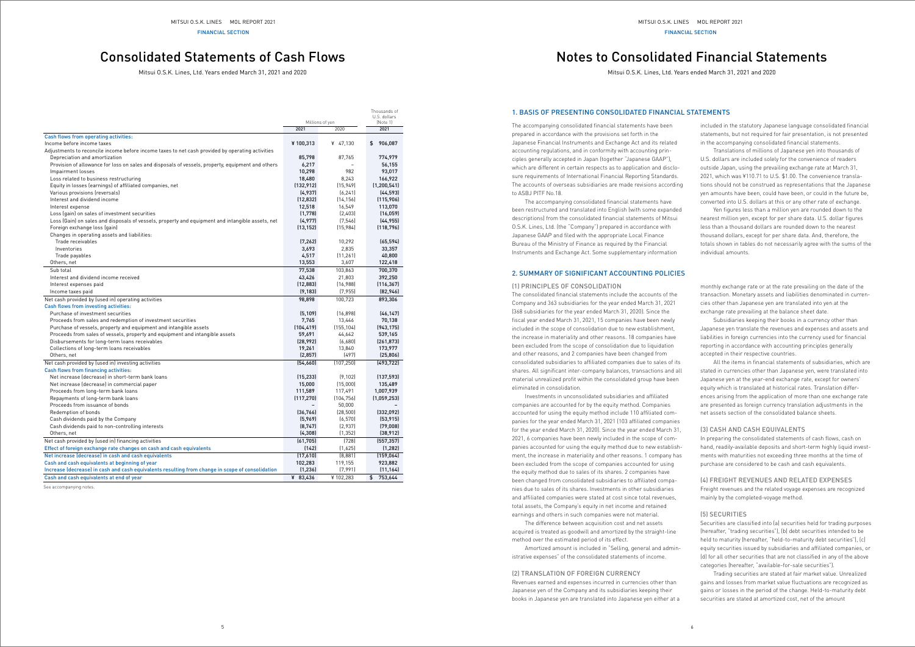Thousands of

The accompanying consolidated financial statements have been prepared in accordance with the provisions set forth in the Japanese Financial Instruments and Exchange Act and its related accounting regulations, and in conformity with accounting principles generally accepted in Japan (together "Japanese GAAP"), which are different in certain respects as to application and disclosure requirements of International Financial Reporting Standards. The accounts of overseas subsidiaries are made revisions according to ASB I PITE No. 18

|                                                                                                   | Millions of yen |            | (Note 1)      |  |
|---------------------------------------------------------------------------------------------------|-----------------|------------|---------------|--|
|                                                                                                   | 2021            | 2020       | 2021          |  |
| Cash flows from operating activities:                                                             |                 |            |               |  |
| Income before income taxes                                                                        | ¥100,313        | ¥ 47,130   | 906,087<br>\$ |  |
| Adjustments to reconcile income before income taxes to net cash provided by operating activities  |                 |            |               |  |
| Depreciation and amortization                                                                     | 85,798          | 87,765     | 774,979       |  |
| Provision of allowance for loss on sales and disposals of vessels, property, equipment and others | 6,217           |            | 56,155        |  |
| Impairment losses                                                                                 | 10,298          | 982        | 93,017        |  |
| Loss related to business restructuring                                                            | 18,480          | 8,243      | 166,922       |  |
| Equity in losses (earnings) of affiliated companies, net                                          | (132, 912)      | (15, 949)  | (1, 200, 541) |  |
| Various provisions (reversals)                                                                    | (4,937)         | (6, 241)   | (44, 593)     |  |
| Interest and dividend income                                                                      | (12, 832)       | (14, 156)  | (115,906)     |  |
| Interest expense                                                                                  | 12,518          | 16,549     | 113,070       |  |
| Loss (gain) on sales of investment securities                                                     | (1, 778)        | (2,403)    | (16, 059)     |  |
| Loss (Gain) on sales and disposals of vessels, property and equipment and intangible assets, net  | (4,977)         | (7, 546)   | (44, 955)     |  |
| Foreign exchange loss (gain)                                                                      | (13, 152)       | (15,984)   | (118, 796)    |  |
| Changes in operating assets and liabilities:                                                      |                 |            |               |  |
| Trade receivables                                                                                 | (7, 262)        | 10,292     | (65, 594)     |  |
| Inventories                                                                                       | 3,693           | 2,835      | 33,357        |  |
| Trade payables                                                                                    | 4,517           | (11, 261)  | 40,800        |  |
| Others, net                                                                                       | 13,553          | 3,607      | 122,418       |  |
| Sub total                                                                                         | 77,538          | 103,863    | 700,370       |  |
| Interest and dividend income received                                                             | 43,426          | 21,803     | 392,250       |  |
| Interest expenses paid                                                                            | (12, 883)       | (16, 988)  | (116, 367)    |  |
| Income taxes paid                                                                                 | (9, 183)        | (7, 955)   | [82, 946]     |  |
| Net cash provided by (used in) operating activities                                               | 98,898          | 100,723    | 893,306       |  |
|                                                                                                   |                 |            |               |  |
| Cash flows from investing activities:<br>Purchase of investment securities                        |                 | (16, 898)  |               |  |
|                                                                                                   | (5, 109)        |            | (46, 147)     |  |
| Proceeds from sales and redemption of investment securities                                       | 7,765           | 13,446     | 70,138        |  |
| Purchase of vessels, property and equipment and intangible assets                                 | (104, 419)      | (155, 104) | (943, 175)    |  |
| Proceeds from sales of vessels, property and equipment and intangible assets                      | 59,691          | 44,642     | 539,165       |  |
| Disbursements for long-term loans receivables                                                     | (28,992)        | (6,680)    | (261, 873)    |  |
| Collections of long-term loans receivables                                                        | 19,261          | 13,840     | 173,977       |  |
| Others, net                                                                                       | (2, 857)        | (497)      | (25, 806)     |  |
| Net cash provided by (used in) investing activities                                               | [54,660]        | (107, 250) | (493, 722)    |  |
| Cash flows from financing activities:                                                             |                 |            |               |  |
| Net increase (decrease) in short-term bank loans                                                  | (15, 233)       | (9, 102)   | (137, 593)    |  |
| Net increase (decrease) in commercial paper                                                       | 15,000          | (15,000)   | 135,489       |  |
| Proceeds from long-term bank loans                                                                | 111,589         | 117,491    | 1,007,939     |  |
| Repayments of long-term bank loans                                                                | (117, 270)      | [104, 756] | (1,059,253)   |  |
| Proceeds from issuance of bonds                                                                   |                 | 50,000     |               |  |
| Redemption of bonds                                                                               | [36, 766]       | (28, 500)  | (332,092)     |  |
| Cash dividends paid by the Company                                                                | (5,969)         | (6, 570)   | (53, 915)     |  |
| Cash dividends paid to non-controlling interests                                                  | (8,747)         | [2,937]    | (79,008)      |  |
| Others, net                                                                                       | (4, 308)        | (1, 352)   | (38, 912)     |  |
| Net cash provided by (used in) financing activities                                               | (61, 705)       | (728)      | (557, 357)    |  |
| Effect of foreign exchange rate changes on cash and cash equivalents                              | (142)           | (1,625)    | (1, 282)      |  |
| Net increase (decrease) in cash and cash equivalents                                              | (17,610)        | (8,881)    | (159, 064)    |  |
| Cash and cash equivalents at beginning of year                                                    | 102,283         | 119,155    | 923,882       |  |
| Increase (decrease) in cash and cash equivalents resulting from change in scope of consolidation  | (1, 236)        | (7,991)    | (11, 164)     |  |
| Cash and cash equivalents at end of year                                                          | ¥ 83,436        | ¥102,283   | \$<br>753.644 |  |

See accompanying notes.

# 1. BASIS OF PRESENTING CONSOLIDATED FINANCIAL STATEMENTS

The accompanying consolidated financial statements have been restructured and translated into English (with some expanded descriptions) from the consolidated financial statements of Mitsui O.S.K. Lines, Ltd. (the "Company") prepared in accordance with Japanese GAAP and filed with the appropriate Local Finance Bureau of the Ministry of Finance as required by the Financial Instruments and Exchange Act. Some supplementary information

included in the statutory Japanese language consolidated financial statements, but not required for fair presentation, is not presented in the accompanying consolidated financial statements.

Translations of millions of Japanese yen into thousands of U.S. dollars are included solely for the convenience of readers outside Japan, using the prevailing exchange rate at March 31, 2021, which was ¥110.71 to U.S. \$1.00. The convenience translations should not be construed as representations that the Japanese yen amounts have been, could have been, or could in the future be, converted into U.S. dollars at this or any other rate of exchange.

Yen figures less than a million yen are rounded down to the nearest million yen, except for per share data. U.S. dollar figures less than a thousand dollars are rounded down to the nearest thousand dollars, except for per share data. And, therefore, the totals shown in tables do not necessarily agree with the sums of the individual amounts.

## 2. SUMMARY OF SIGNIFICANT ACCOUNTING POLICIES

#### (1) PRINCIPLES OF CONSOLIDATION

The consolidated financial statements include the accounts of the Company and 363 subsidiaries for the year ended March 31, 2021 (368 subsidiaries for the year ended March 31, 2020). Since the fiscal year ended March 31, 2021, 15 companies have been newly included in the scope of consolidation due to new establishment, the increase in materiality and other reasons. 18 companies have been excluded from the scope of consolidation due to liquidation and other reasons, and 2 companies have been changed from consolidated subsidiaries to affiliated companies due to sales of its shares. All significant inter-company balances, transactions and all material unrealized profit within the consolidated group have been eliminated in consolidation.

Investments in unconsolidated subsidiaries and affiliated companies are accounted for by the equity method. Companies accounted for using the equity method include 110 affiliated companies for the year ended March 31, 2021 (103 affiliated companies for the year ended March 31, 2020). Since the year ended March 31, 2021, 6 companies have been newly included in the scope of companies accounted for using the equity method due to new establishment, the increase in materiality and other reasons. 1 company has been excluded from the scope of companies accounted for using the equity method due to sales of its shares. 2 companies have been changed from consolidated subsidiaries to affiliated companies due to sales of its shares. Investments in other subsidiaries and affiliated companies were stated at cost since total revenues, total assets, the Company's equity in net income and retained earnings and others in such companies were not material.

The difference between acquisition cost and net assets acquired is treated as goodwill and amortized by the straight-line method over the estimated period of its effect.

Amortized amount is included in "Selling, general and administrative expenses" of the consolidated statements of income.

#### (2) TRANSLATION OF FOREIGN CURRENCY

Revenues earned and expenses incurred in currencies other than Japanese yen of the Company and its subsidiaries keeping their books in Japanese yen are translated into Japanese yen either at a

monthly exchange rate or at the rate prevailing on the date of the transaction. Monetary assets and liabilities denominated in currencies other than Japanese yen are translated into yen at the exchange rate prevailing at the balance sheet date.

Subsidiaries keeping their books in a currency other than Japanese yen translate the revenues and expenses and assets and liabilities in foreign currencies into the currency used for financial reporting in accordance with accounting principles generally accepted in their respective countries.

All the items in financial statements of subsidiaries, which are stated in currencies other than Japanese yen, were translated into Japanese yen at the year-end exchange rate, except for owners' equity which is translated at historical rates. Translation differences arising from the application of more than one exchange rate are presented as foreign currency translation adjustments in the net assets section of the consolidated balance sheets.

# (3) CASH AND CASH EQUIVALENTS

In preparing the consolidated statements of cash flows, cash on hand, readily-available deposits and short-term highly liquid investments with maturities not exceeding three months at the time of purchase are considered to be cash and cash equivalents.

(4) FREIGHT REVENUES AND RELATED EXPENSES Freight revenues and the related voyage expenses are recognized mainly by the completed-voyage method.

# (5) SECURITIES

Securities are classified into (a) securities held for trading purposes (hereafter, "trading securities"), (b) debt securities intended to be held to maturity (hereafter, "held-to-maturity debt securities"), (c) equity securities issued by subsidiaries and affiliated companies, or (d) for all other securities that are not classified in any of the above categories (hereafter, "available-for-sale securities").

Trading securities are stated at fair market value. Unrealized gains and losses from market value fluctuations are recognized as gains or losses in the period of the change. Held-to-maturity debt securities are stated at amortized cost, net of the amount

# Consolidated Statements of Cash Flows

Mitsui O.S.K. Lines, Ltd. Years ended March 31, 2021 and 2020

# Notes to Consolidated Financial Statements

Mitsui O.S.K. Lines, Ltd. Years ended March 31, 2021 and 2020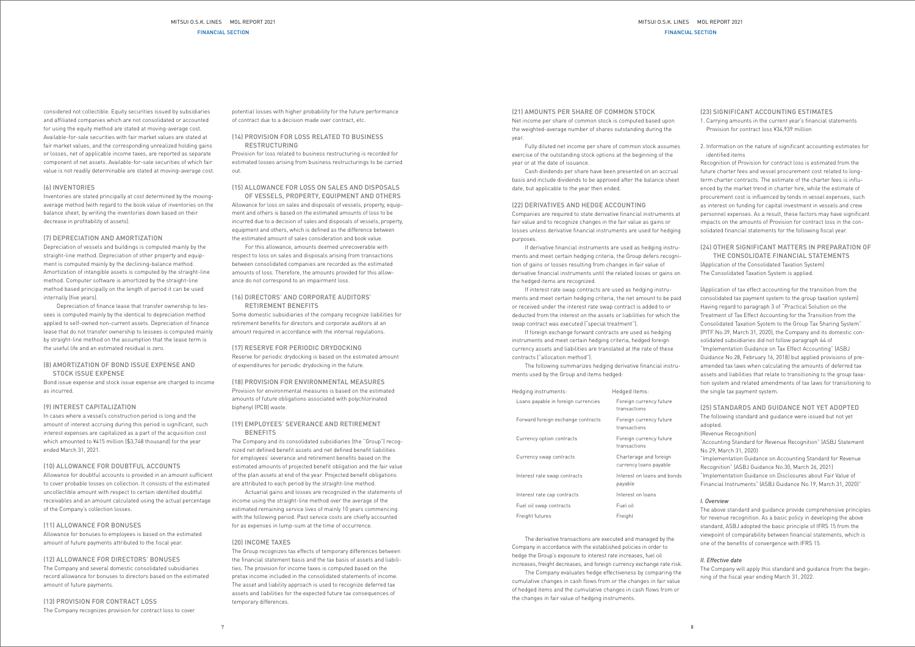#### (21) AMOUNTS PER SHARE OF COMMON STOCK

Net income per share of common stock is computed based upon the weighted-average number of shares outstanding during the year.

Fully diluted net income per share of common stock assumes exercise of the outstanding stock options at the beginning of the year or at the date of issuance.

Cash dividends per share have been presented on an accrual basis and include dividends to be approved after the balance sheet date, but applicable to the year then ended.

#### (22) DERIVATIVES AND HEDGE ACCOUNTING

Companies are required to state derivative financial instruments at fair value and to recognize changes in the fair value as gains or losses unless derivative financial instruments are used for hedging purposes.

If derivative financial instruments are used as hedging instruments and meet certain hedging criteria, the Group defers recognition of gains or losses resulting from changes in fair value of derivative financial instruments until the related losses or gains on the hedged items are recognized.

If interest rate swap contracts are used as hedging instruments and meet certain hedging criteria, the net amount to be paid or received under the interest rate swap contract is added to or deducted from the interest on the assets or liabilities for which the swap contract was executed ("special treatment").

If foreign exchange forward contracts are used as hedging instruments and meet certain hedging criteria, hedged foreign currency assets and liabilities are translated at the rate of these contracts ("allocation method").

The following summarizes hedging derivative financial instruments used by the Group and items hedged:

| Hedging instruments:                | Hedged items:                                    |
|-------------------------------------|--------------------------------------------------|
| Loans payable in foreign currencies | Foreign currency future<br>transactions          |
| Forward foreign exchange contracts  | Foreign currency future<br>transactions          |
| Currency option contracts           | Foreign currency future<br>transactions          |
| Currency swap contracts             | Charterage and foreign<br>currency loans payable |
| Interest rate swap contracts        | Interest on loans and bonds<br>payable           |
| Interest rate cap contracts         | Interest on loans                                |
| Fuel oil swap contracts             | Fuel oil                                         |
| Freight futures                     | Freight                                          |
|                                     |                                                  |

The derivative transactions are executed and managed by the Company in accordance with the established policies in order to hedge the Group's exposure to interest rate increases, fuel oil increases, freight decreases, and foreign currency exchange rate risk.

The Company evaluates hedge effectiveness by comparing the cumulative changes in cash flows from or the changes in fair value of hedged items and the cumulative changes in cash flows from or the changes in fair value of hedging instruments.

### (23) SIGNIFICANT ACCOUNTING ESTIMATES 1. Carrying amounts in the current year's financial statements Provision for contract loss ¥34,939 million

2. Information on the nature of significant accounting estimates for identified items

Recognition of Provision for contract loss is estimated from the future charter fees and vessel procurement cost related to longterm charter contracts. The estimate of the charter fees is influenced by the market trend in charter hire, while the estimate of procurement cost is influenced by tends in vessel expenses, such as interest on funding for capital investment in vessels and crew personnel expenses. As a result, these factors may have significant impacts on the amounts of Provision for contract loss in the consolidated financial statements for the following fiscal year.

# (24) OTHER SIGNIFICANT MATTERS IN PREPARATION OF THE CONSOLIDATE FINANCIAL STATEMENTS (Application of the Consolidated Taxation System) The Consolidated Taxation System is applied.

(Application of tax effect accounting for the transition from the consolidated tax payment system to the group taxation system) Having regard to paragraph 3 of "Practical Solution on the Treatment of Tax Effect Accounting for the Transition from the Consolidated Taxation System to the Group Tax Sharing System" (PITF No.39, March 31, 2020), the Company and its domestic consolidated subsidiaries did not follow paragraph 44 of "Implementation Guidance on Tax Effect Accounting" (ASBJ Guidance No.28, February 16, 2018) but applied provisions of preamended tax laws when calculating the amounts of deferred tax assets and liabilities that relate to transitioning to the group taxation system and related amendments of tax laws for transitioning to the single tax payment system.

#### (14) PROVISION FOR LOSS RELATED TO BUSINESS **RESTRUCTURING**

(25) STANDARDS AND GUIDANCE NOT YET ADOPTED The following standard and guidance were issued but not yet adopted.

(Revenue Recognition)

"Accounting Standard for Revenue Recognition" (ASBJ Statement No.29, March 31, 2020)

"Implementation Guidance on Accounting Standard for Revenue Recognition" (ASBJ Guidance No.30, March 26, 2021) "Implementation Guidance on Disclosures about Fair Value of Financial Instruments" (ASBJ Guidance No.19, March 31, 2020)"

### (19) EMPLOYEES' SEVERANCE AND RETIREMENT **BENEFITS**

### *I. Overview*

The above standard and guidance provide comprehensive principles for revenue recognition. As a basic policy in developing the above standard, ASBJ adopted the basic principle of IFRS 15 from the viewpoint of comparability between financial statements, which is one of the benefits of convergence with IFRS 15.

### *II. Effective date*

The Company will apply this standard and guidance from the beginning of the fiscal year ending March 31, 2022.

considered not collectible. Equity securities issued by subsidiaries and affiliated companies which are not consolidated or accounted for using the equity method are stated at moving-average cost. Available-for-sale securities with fair market values are stated at fair market values, and the corresponding unrealized holding gains or losses, net of applicable income taxes, are reported as separate component of net assets. Available-for-sale securities of which fair value is not readily determinable are stated at moving-average cost.

#### (6) INVENTORIES

Inventories are stated principally at cost determined by the movingaverage method (with regard to the book value of inventories on the balance sheet, by writing the inventories down based on their decrease in profitability of assets).

#### (7) DEPRECIATION AND AMORTIZATION

Depreciation of vessels and buildings is computed mainly by the straight-line method. Depreciation of other property and equipment is computed mainly by the declining-balance method. Amortization of intangible assets is computed by the straight-line method. Computer software is amortized by the straight-line method based principally on the length of period it can be used internally (five years).

Depreciation of finance lease that transfer ownership to lessees is computed mainly by the identical to depreciation method applied to self-owned non-current assets. Depreciation of finance lease that do not transfer ownership to lessees is computed mainly by straight-line method on the assumption that the lease term is the useful life and an estimated residual is zero.

#### (8) AMORTIZATION OF BOND ISSUE EXPENSE AND STOCK ISSUE EXPENSE

Bond issue expense and stock issue expense are charged to income as incurred.

## (9) INTEREST CAPITALIZATION

In cases where a vessel's construction period is long and the amount of interest accruing during this period is significant, such interest expenses are capitalized as a part of the acquisition cost which amounted to ¥415 million (\$3,748 thousand) for the year ended March 31, 2021.

### (10) ALLOWANCE FOR DOUBTFUL ACCOUNTS

Allowance for doubtful accounts is provided in an amount sufficient to cover probable losses on collection. It consists of the estimated uncollectible amount with respect to certain identified doubtful receivables and an amount calculated using the actual percentage of the Company's collection losses.

(11) ALLOWANCE FOR BONUSES Allowance for bonuses to employees is based on the estimated amount of future payments attributed to the fiscal year.

#### (12) ALLOWANCE FOR DIRECTORS' BONUSES

The Company and several domestic consolidated subsidiaries record allowance for bonuses to directors based on the estimated amount of future payments.

(13) PROVISION FOR CONTRACT LOSS The Company recognizes provision for contract loss to cover potential losses with higher probability for the future performance of contract due to a decision made over contract, etc.

Provision for loss related to business restructuring is recorded for estimated losses arising from business restructurings to be carried out.

# (15) ALLOWANCE FOR LOSS ON SALES AND DISPOSALS

OF VESSELS, PROPERTY, EQUIPMENT AND OTHERS Allowance for loss on sales and disposals of vessels, property, equipment and others is based on the estimated amounts of loss to be incurred due to a decision of sales and disposals of vessels, property, equipment and others, which is defined as the difference between the estimated amount of sales consideration and book value.

For this allowance, amounts deemed unrecoverable with respect to loss on sales and disposals arising from transactions between consolidated companies are recorded as the estimated amounts of loss. Therefore, the amounts provided for this allowance do not correspond to an impairment loss.

### (16) DIRECTORS' AND CORPORATE AUDITORS' RETIREMENT BENEFITS

Some domestic subsidiaries of the company recognize liabilities for retirement benefits for directors and corporate auditors at an amount required in accordance with the internal regulations.

## (17) RESERVE FOR PERIODIC DRYDOCKING

Reserve for periodic drydocking is based on the estimated amount of expenditures for periodic drydocking in the future.

# (18) PROVISION FOR ENVIRONMENTAL MEASURES Provision for environmental measures is based on the estimated amounts of future obligations associated with polychlorinated biphenyl (PCB) waste.

The Company and its consolidated subsidiaries (the "Group") recognized net defined benefit assets and net defined benefit liabilities for employees' severance and retirement benefits based on the estimated amounts of projected benefit obligation and the fair value of the plan assets at end of the year. Projected benefit obligations are attributed to each period by the straight-line method.

Actuarial gains and losses are recognized in the statements of income using the straight-line method over the average of the estimated remaining service lives of mainly 10 years commencing with the following period. Past service costs are chiefly accounted for as expenses in lump-sum at the time of occurrence.

# (20) INCOME TAXES

The Group recognizes tax effects of temporary differences between the financial statement basis and the tax basis of assets and liabilities. The provision for income taxes is computed based on the pretax income included in the consolidated statements of income. The asset and liability approach is used to recognize deferred tax assets and liabilities for the expected future tax consequences of temporary differences.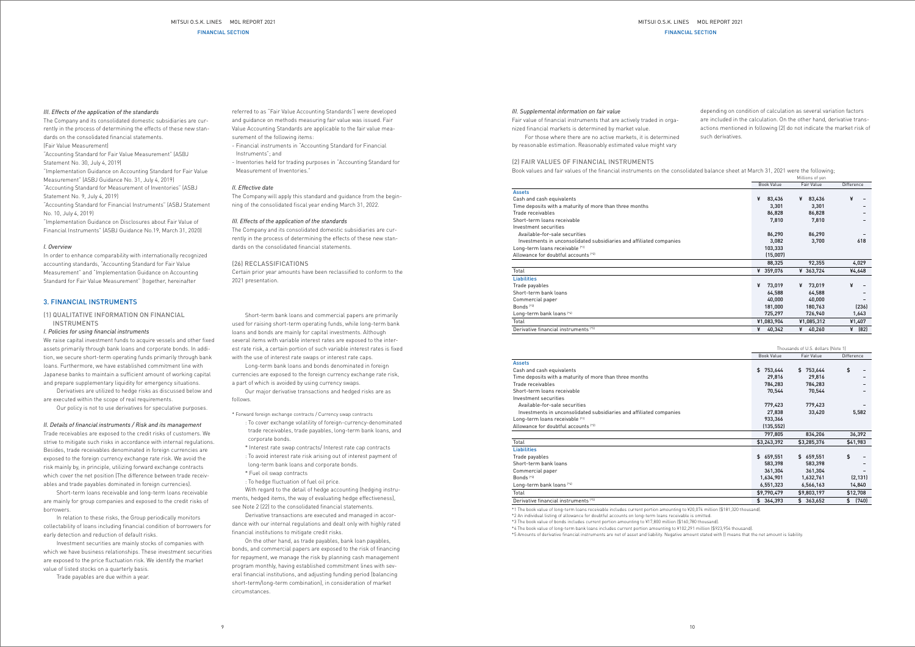#### *III. Supplemental information on fair value*

Fair value of financial instruments that are actively traded in organized financial markets is determined by market value.

For those where there are no active markets, it is determined by reasonable estimation. Reasonably estimated value might vary

depending on condition of calculation as several variation factors are included in the calculation. On the other hand, derivative transactions mentioned in following (2) do not indicate the market risk of such derivatives.

|  |  |  |  | ated balance sheet at March 31, 2021 were the following; |  |
|--|--|--|--|----------------------------------------------------------|--|
|  |  |  |  |                                                          |  |

# (2) FAIR VALUES OF FINANCIAL INSTRUMENTS

Book values and fair values of the financial instruments on the consolid

# **Assets**

|                                                                     |   |                   |   | Millions of yen |                   |        |
|---------------------------------------------------------------------|---|-------------------|---|-----------------|-------------------|--------|
|                                                                     |   | <b>Book Value</b> |   | Fair Value      | <b>Difference</b> |        |
| <b>Assets</b>                                                       |   |                   |   |                 |                   |        |
| Cash and cash equivalents                                           | ¥ | 83,436            | ¥ | 83,436          | ¥                 |        |
| Time deposits with a maturity of more than three months             |   | 3,301             |   | 3,301           |                   |        |
| Trade receivables                                                   |   | 86,828            |   | 86,828          |                   |        |
| Short-term loans receivable                                         |   | 7,810             |   | 7,810           |                   |        |
| Investment securities                                               |   |                   |   |                 |                   |        |
| Available-for-sale securities                                       |   | 86,290            |   | 86,290          |                   |        |
| Investments in unconsolidated subsidiaries and affiliated companies |   | 3,082             |   | 3,700           |                   | 618    |
| Long-term loans receivable [*1]                                     |   | 103,333           |   |                 |                   |        |
| Allowance for doubtful accounts (*2)                                |   | (15,007)          |   |                 |                   |        |
|                                                                     |   | 88,325            |   | 92,355          |                   | 4,029  |
| Total                                                               |   | ¥ 359,076         |   | ¥ 363,724       |                   | ¥4,648 |
| <b>Liabilities</b>                                                  |   |                   |   |                 |                   |        |
| Trade payables                                                      | ¥ | 73,019            | ¥ | 73,019          | ¥                 |        |
| Short-term bank loans                                               |   | 64,588            |   | 64,588          |                   |        |
| Commercial paper                                                    |   | 40,000            |   | 40,000          |                   |        |
| Bonds <sup>[*3]</sup>                                               |   | 181,000           |   | 180,763         |                   | (236)  |
| Long-term bank loans (*4)                                           |   | 725,297           |   | 726,940         |                   | 1,643  |
| Total                                                               |   | ¥1,083,904        |   | ¥1,085,312      |                   | ¥1,407 |
| Derivative financial instruments (*5)                               | ¥ | 40,342            | ¥ | 40.260          | ¥                 | [82]   |
|                                                                     |   |                   |   |                 |                   |        |

Thousands of U.S. dollars (Note 1)

#### Assets

|                                                                     |                   | Thousands of O.S. dottars invote Th |             |
|---------------------------------------------------------------------|-------------------|-------------------------------------|-------------|
|                                                                     | <b>Book Value</b> | Fair Value                          | Difference  |
| <b>Assets</b>                                                       |                   |                                     |             |
| Cash and cash equivalents                                           | 753,644<br>\$     | \$753,644                           | \$          |
| Time deposits with a maturity of more than three months             | 29.816            | 29.816                              |             |
| Trade receivables                                                   | 784,283           | 784,283                             |             |
| Short-term loans receivable                                         | 70,544            | 70,544                              |             |
| Investment securities                                               |                   |                                     |             |
| Available-for-sale securities                                       | 779,423           | 779,423                             |             |
| Investments in unconsolidated subsidiaries and affiliated companies | 27,838            | 33,420                              | 5,582       |
| Long-term loans receivable [*1]                                     | 933,366           |                                     |             |
| Allowance for doubtful accounts (*2)                                | (135, 552)        |                                     |             |
|                                                                     | 797,805           | 834,206                             | 36,392      |
| Total                                                               | \$3,243,392       | \$3,285,376                         | \$41,983    |
| <b>Liabilities</b>                                                  |                   |                                     |             |
| Trade payables                                                      | \$659,551         | \$659,551                           | \$          |
| Short-term bank loans                                               | 583.398           | 583,398                             |             |
| Commercial paper                                                    | 361,304           | 361,304                             |             |
| Bonds <sup>[*3]</sup>                                               | 1,634,901         | 1,632,761                           | (2, 131)    |
| Long-term bank loans (*4)                                           | 6,551,323         | 6,566,163                           | 14,840      |
| Total                                                               | \$9,790,479       | \$9,803,197                         | \$12,708    |
| Derivative financial instruments (*5)                               | \$364,393         | \$363,652                           | \$<br>(740) |

\*1 The book value of long-term loans receivable includes current portion amounting to ¥20,074 million (\$181,320 thousand). \*2 An individual listing of allowance for doubtful accounts on long-term loans receivable is omitted. \*3 The book value of bonds includes current portion amounting to ¥17,800 million (\$160,780 thousand). \*4 The book value of long-term bank loans includes current portion amounting to ¥102,291 million (\$923,954 thousand). \*5 Amounts of derivative financial instruments are net of asset and liability. Negative amount stated with () means that the net amount is liability.

# *III. Effects of the application of the standards*

The Company and its consolidated domestic subsidiaries are currently in the process of determining the effects of these new standards on the consolidated financial statements.

(Fair Value Measurement)

"Accounting Standard for Fair Value Measurement" (ASBJ Statement No. 30, July 4, 2019)

"Implementation Guidance on Accounting Standard for Fair Value Measurement" (ASBJ Guidance No. 31, July 4, 2019) "Accounting Standard for Measurement of Inventories" (ASBJ Statement No. 9, July 4, 2019)

"Accounting Standard for Financial Instruments" (ASBJ Statement No. 10, July 4, 2019)

"Implementation Guidance on Disclosures about Fair Value of Financial Instruments" (ASBJ Guidance No.19, March 31, 2020)

#### *I. Overview*

In order to enhance comparability with internationally recognized accounting standards, "Accounting Standard for Fair Value Measurement" and "Implementation Guidance on Accounting Standard for Fair Value Measurement" (together, hereinafter

- referred to as "Fair Value Accounting Standards") were developed and guidance on methods measuring fair value was issued. Fair
- Value Accounting Standards are applicable to the fair value mea-
- surement of the following items:
- Financial instruments in "Accounting Standard for Financial
- Instruments"; and
- Inventories held for trading purposes in "Accounting Standard for Measurement of Inventories."

# *II. Effective date*

The Company will apply this standard and guidance from the beginning of the consolidated fiscal year ending March 31, 2022.

#### *III. Effects of the application of the standards*

The Company and its consolidated domestic subsidiaries are currently in the process of determining the effects of these new standards on the consolidated financial statements.

#### (26) RECLASSIFICATIONS

Certain prior year amounts have been reclassified to conform to the 2021 presentation.

# 3. FINANCIAL INSTRUMENTS

- (1) QUALITATIVE INFORMATION ON FINANCIAL INSTRUMENTS
- *I. Policies for using financial instruments*

We raise capital investment funds to acquire vessels and other fixed assets primarily through bank loans and corporate bonds. In addition, we secure short-term operating funds primarily through bank loans. Furthermore, we have established commitment line with Japanese banks to maintain a sufficient amount of working capital and prepare supplementary liquidity for emergency situations.

Derivatives are utilized to hedge risks as discussed below and are executed within the scope of real requirements.

Our policy is not to use derivatives for speculative purposes.

#### *II. Details of financial instruments / Risk and its management*

Trade receivables are exposed to the credit risks of customers. We strive to mitigate such risks in accordance with internal regulations. Besides, trade receivables denominated in foreign currencies are exposed to the foreign currency exchange rate risk. We avoid the risk mainly by, in principle, utilizing forward exchange contracts which cover the net position (The difference between trade receivables and trade payables dominated in foreign currencies).

Short-term loans receivable and long-term loans receivable are mainly for group companies and exposed to the credit risks of borrowers.

In relation to these risks, the Group periodically monitors collectability of loans including financial condition of borrowers for early detection and reduction of default risks.

Investment securities are mainly stocks of companies with which we have business relationships. These investment securities are exposed to the price fluctuation risk. We identify the market value of listed stocks on a quarterly basis.

Trade payables are due within a year.

Short-term bank loans and commercial papers are primarily used for raising short-term operating funds, while long-term bank loans and bonds are mainly for capital investments. Although several items with variable interest rates are exposed to the interest rate risk, a certain portion of such variable interest rates is fixed with the use of interest rate swaps or interest rate caps.

Long-term bank loans and bonds denominated in foreign currencies are exposed to the foreign currency exchange rate risk, a part of which is avoided by using currency swaps.

Our major derivative transactions and hedged risks are as follows.

\* Forward foreign exchange contracts / Currency swap contracts

: To cover exchange volatility of foreign-currency-denominated trade receivables, trade payables, long-term bank loans, and corporate bonds.

- \* Interest rate swap contracts/ Interest rate cap contracts : To avoid interest rate risk arising out of interest payment of long-term bank loans and corporate bonds.
- \* Fuel oil swap contracts
- : To hedge fluctuation of fuel oil price.

With regard to the detail of hedge accounting (hedging instruments, hedged items, the way of evaluating hedge effectiveness), see Note 2 (22) to the consolidated financial statements.

Derivative transactions are executed and managed in accordance with our internal regulations and dealt only with highly rated financial institutions to mitigate credit risks.

On the other hand, as trade payables, bank loan payables, bonds, and commercial papers are exposed to the risk of financing for repayment, we manage the risk by planning cash management program monthly, having established commitment lines with several financial institutions, and adjusting funding period (balancing short-term/long-term combination), in consideration of market circumstances.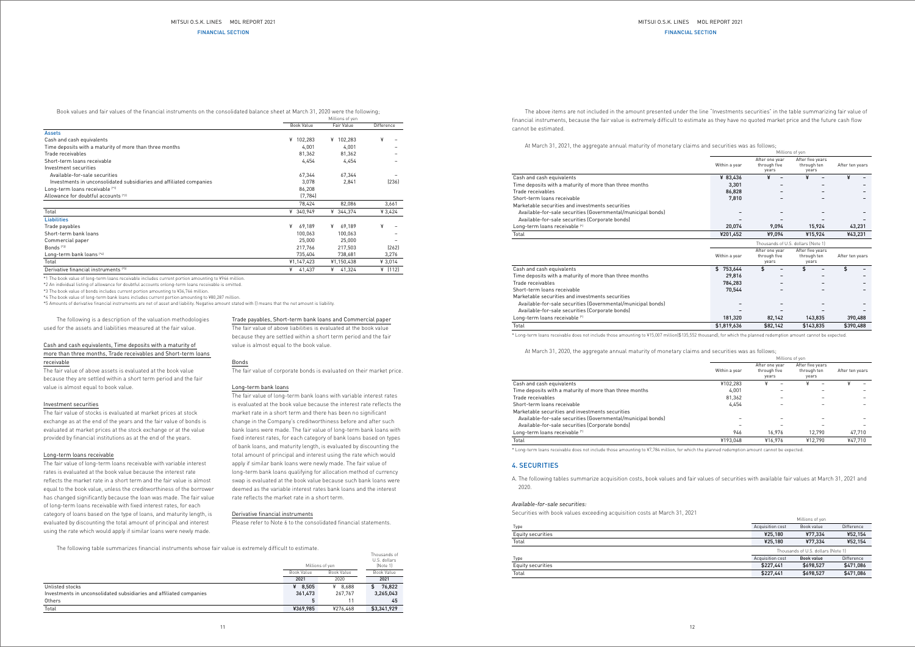#### Book values and fair values of the financial instruments on the consolidated balance sheet at March 31, 2020 were the following;

|                                                                     | Millions of yen   |              |            |  |  |  |
|---------------------------------------------------------------------|-------------------|--------------|------------|--|--|--|
|                                                                     | <b>Book Value</b> | Fair Value   | Difference |  |  |  |
| <b>Assets</b>                                                       |                   |              |            |  |  |  |
| Cash and cash equivalents                                           | ¥ 102,283         | 102,283<br>¥ | ¥          |  |  |  |
| Time deposits with a maturity of more than three months             | 4,001             | 4,001        |            |  |  |  |
| Trade receivables                                                   | 81,362            | 81,362       |            |  |  |  |
| Short-term loans receivable                                         | 4,454             | 4,454        |            |  |  |  |
| Investment securities                                               |                   |              |            |  |  |  |
| Available-for-sale securities                                       | 67,344            | 67,344       |            |  |  |  |
| Investments in unconsolidated subsidiaries and affiliated companies | 3,078             | 2,841        | [236]      |  |  |  |
| Long-term loans receivable [*1]                                     | 86,208            |              |            |  |  |  |
| Allowance for doubtful accounts <a>[*2]</a>                         | (7, 784)          |              |            |  |  |  |
|                                                                     | 78,424            | 82,086       | 3,661      |  |  |  |
| Total                                                               | ¥ 340,949         | ¥ 344,374    | ¥3,424     |  |  |  |
| <b>Liabilities</b>                                                  |                   |              |            |  |  |  |
| Trade payables                                                      | ¥<br>69,189       | 69,189<br>¥  | ¥          |  |  |  |
| Short-term bank loans                                               | 100,063           | 100,063      |            |  |  |  |
| Commercial paper                                                    | 25,000            | 25,000       |            |  |  |  |
| Bonds <sup>[*3]</sup>                                               | 217,766           | 217,503      | (262)      |  |  |  |
| Long-term bank loans [*4]                                           | 735,404           | 738,681      | 3,276      |  |  |  |
| Total                                                               | ¥1,147,423        | ¥1,150,438   | ¥ 3,014    |  |  |  |
| Derivative financial instruments [*5]                               | ¥<br>41,437       | ¥ 41,324     | ¥ $(112)$  |  |  |  |

\*1 The book value of long-term loans receivable includes current portion amounting to ¥946 million.

\*2 An individual listing of allowance for doubtful accounts onlong-term loans receivable is omitted.

\*3 The book value of bonds includes current portion amounting to ¥36,766 million.

\*4 The book value of long-term bank loans includes current portion amounting to ¥80,287 million.

\*5 Amounts of derivative financial instruments are net of asset and liability. Negative amount stated with () means that the net amount is liability.

Cash and cash equivalents, Time deposits with a maturity of more than three months, Trade receivables and Short-term loans

receivable

The fair value of above assets is evaluated at the book value because they are settled within a short term period and the fair

value is almost equal to book value.

Investment securities

The fair value of stocks is evaluated at market prices at stock exchange as at the end of the years and the fair value of bonds is evaluated at market prices at the stock exchange or at the value provided by financial institutions as at the end of the years.

#### The following is a description of the valuation methodologies used for the assets and liabilities measured at the fair value. Trade payables, Short-term bank loans and Commercial paper

Long-term loans receivable

The fair value of long-term loans receivable with variable interest rates is evaluated at the book value because the interest rate reflects the market rate in a short term and the fair value is almost equal to the book value, unless the creditworthiness of the borrower has changed significantly because the loan was made. The fair value of long-term loans receivable with fixed interest rates, for each category of loans based on the type of loans, and maturity length, is evaluated by discounting the total amount of principal and interest using the rate which would apply if similar loans were newly made.

The fair value of above liabilities is evaluated at the book value because they are settled within a short term period and the fair value is almost equal to the book value.

#### Bonds

The fair value of corporate bonds is evaluated on their market price.

#### Long-term bank loans

The fair value of long-term bank loans with variable interest rates is evaluated at the book value because the interest rate reflects the market rate in a short term and there has been no significant change in the Company's creditworthiness before and after such bank loans were made. The fair value of long-term bank loans with fixed interest rates, for each category of bank loans based on types of bank loans, and maturity length, is evaluated by discounting the total amount of principal and interest using the rate which would apply if similar bank loans were newly made. The fair value of long-term bank loans qualifying for allocation method of currency swap is evaluated at the book value because such bank loans were deemed as the variable interest rates bank loans and the interest rate reflects the market rate in a short term.

#### Derivative financial instruments

Please refer to Note 6 to the consolidated financial statements.

The following table summarizes financial instruments whose fair value is extremely difficult to estimate.

Thousands of

|                                                                     |            | Millions of ven | 1110u5d11u5 01<br>U.S. dollars<br>[Note 1] |
|---------------------------------------------------------------------|------------|-----------------|--------------------------------------------|
|                                                                     | Book Value | Book Value      | Book Value                                 |
|                                                                     | 2021       | 2020            | 2021                                       |
| Unlisted stocks                                                     | ¥ 8.505    | ¥ 8,688         | 76,822<br>\$                               |
| Investments in unconsolidated subsidiaries and affiliated companies | 361,473    | 267.767         | 3,265,043                                  |
| Others                                                              | 5          |                 | 45                                         |
| Total                                                               | ¥369.985   | ¥276.468        | \$3,341,929                                |

The above items are not included in the amount presented under the line "Investments securities" in the table summarizing fair value of financial instruments, because the fair value is extremely difficult to estimate as they have no quoted market price and the future cash flow cannot be estimated.

At March 31, 2021, the aggregate annual maturity of monetary claims and securities was as follows;

| Cash and cash equivalents                                    |
|--------------------------------------------------------------|
| Time deposits with a maturity of more than three months      |
| Trade receivables                                            |
| Short-term loans receivable                                  |
| Marketable securities and investments securities             |
| Available-for-sale securities (Governmental/municipal bonds) |
| Available-for-sale securities (Corporate bonds)              |
| Long-term loans receivable [*]                               |
| Total                                                        |

Time deposits with a maturity of more than three months 29,816 Trade receivables 784,283 Short-term loans receivable 70,544 Marketable securities and investments securities Available-for-sale securities (Governmental/municipal bonds) Long-term loans receivable (\*) Total \$1,819,636 \$82,142 \$143,835 \$390,488 \$390,488 \$143,835 \$390,488

Millions of yen Within a year After one year through five years After five years through ten years After ten years Cash and cash equivalents  $\begin{array}{ccc} \uparrow \end{array}$   $\begin{array}{ccc} \downarrow \end{array}$  83,436  $\begin{array}{ccc} \uparrow \end{array}$   $\begin{array}{ccc} \downarrow \end{array}$   $\begin{array}{ccc} \downarrow \end{array}$   $\begin{array}{ccc} \downarrow \end{array}$   $\begin{array}{ccc} \downarrow \end{array}$   $\begin{array}{ccc} \downarrow \end{array}$   $\begin{array}{ccc} \downarrow \end{array}$   $\begin{array}{ccc} \downarrow \end{array}$   $\begin{array}{ccc}$ Time deposits with a maturity of more than three months  $\qquad \qquad 3,301$  –  $\qquad \qquad -$  –  $\qquad \qquad -$ Trade receivables 86,828 – – – Short-term loans receivable 7,810 – – – Available-for-sale securities (Governmental/municipal bonds) – – – – Available-for-sale securities (Corporate bonds) – – – – Long-term loans receivable (\*) 20,074 9,094 15,924 43,231 Total ¥201,452 ¥9,094 ¥15,924 ¥43,231 Thousands of U.S. dollars (Note 1) Within a year After one year through five years After five years through ten years After ten years Cash and cash equivalents **\$** 753,644 \$ – \$ Available-for-sale securities (Corporate bonds) – – – –

\* Long-term loans receivable does not include those amounting to ¥15,007 million(\$135,552 thousand), for which the planned redemption amount cannot be expected.

At March 31, 2020, the aggregate annual maturity of monetary claims and securities was as follows;

|                                                              |               |                                         | Millions of yen                          |                 |
|--------------------------------------------------------------|---------------|-----------------------------------------|------------------------------------------|-----------------|
|                                                              | Within a year | After one year<br>through five<br>years | After five years<br>through ten<br>years | After ten years |
| Cash and cash equivalents                                    | ¥102.283      |                                         |                                          |                 |
| Time deposits with a maturity of more than three months      | 4,001         |                                         |                                          |                 |
| Trade receivables                                            | 81,362        |                                         |                                          |                 |
| Short-term loans receivable                                  | 4,454         |                                         |                                          |                 |
| Marketable securities and investments securities             |               |                                         |                                          |                 |
| Available-for-sale securities (Governmental/municipal bonds) |               |                                         |                                          |                 |
| Available-for-sale securities (Corporate bonds)              |               |                                         |                                          |                 |
| Long-term loans receivable [*]                               | 946           | 16,976                                  | 12.790                                   | 47,710          |
| Total                                                        | ¥193.048      | ¥16.976                                 | ¥12.790                                  | ¥47.710         |
|                                                              |               |                                         |                                          |                 |

| Cash and cash equivalents                                    |
|--------------------------------------------------------------|
| Time deposits with a maturity of more than three months      |
| Trade receivables                                            |
| Short-term loans receivable                                  |
| Marketable securities and investments securities             |
| Available-for-sale securities (Governmental/municipal bonds) |
| Available-for-sale securities (Corporate bonds)              |
| Long-term loans receivable [*]                               |
| Total                                                        |

\* Long-term loans receivable does not include those amounting to ¥7,784 million, for which the planned redemption amount cannot be expected.

#### 4. SECURITIES

# A. The following tables summarize acquisition costs, book values and fair values of securities with available fair values at March 31, 2021 and

2020.

#### *Available-for-sale securities:*

Securities with book values exceeding acquisition costs at March 31, 2021

|                   |                                    | Millions of yen   |            |
|-------------------|------------------------------------|-------------------|------------|
| Type              | Acquisition cost                   | Book value        | Difference |
| Equity securities | ¥25.180                            | ¥77.334           | ¥52.154    |
| Total             | ¥25.180                            | ¥77.334           | ¥52,154    |
|                   | Thousands of U.S. dollars (Note 1) |                   |            |
| Type              | Acquisition cost                   | <b>Book value</b> | Difference |
| Equity securities | \$227.441                          | \$698,527         | \$471,086  |
| Total             | \$227,441                          | \$698,527         | \$471,086  |

|                   |                  | Millions of yen                    |            |
|-------------------|------------------|------------------------------------|------------|
| Type              | Acquisition cost | Book value                         | Difference |
| Equity securities | ¥25.180          | ¥77.334                            | ¥52,154    |
| Total             | ¥25.180          | ¥77.334                            | ¥52,154    |
|                   |                  | Thousands of U.S. dollars (Note 1) |            |
| Type              | Acquisition cost | <b>Book value</b>                  | Difference |
| Equity securities | \$227.441        | \$698.527                          | \$471,086  |
| Total             | \$227,441        | \$698,527                          | \$471,086  |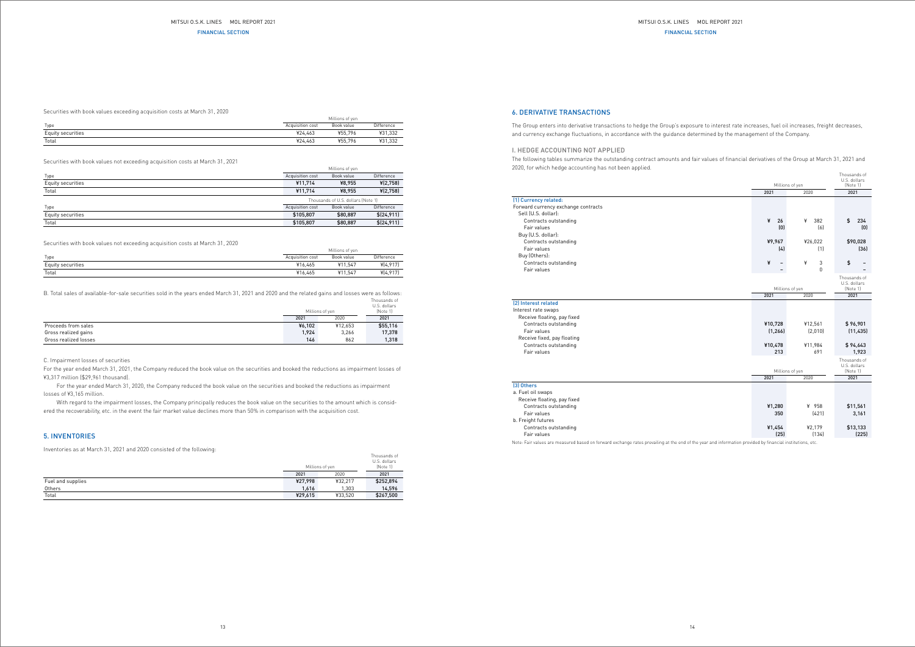#### Securities with book values exceeding acquisition costs at March 31, 2020

|                          |                  | Millions of yen |            |
|--------------------------|------------------|-----------------|------------|
| Type                     | Acquisition cost | Book value      | Difference |
| . .<br>Equity securities | ¥24.463          | ¥55.796         | ¥31,332    |
| Total                    | ¥24,463          | ¥55.796         | ¥31,332    |

Securities with book values not exceeding acquisition costs at March 31, 2021

|                   |                                    | Millions of yen |            |
|-------------------|------------------------------------|-----------------|------------|
| Type              | Acquisition cost                   | Book value      | Difference |
| Equity securities | ¥11.714                            | ¥8.955          | ¥(2,758)   |
| Total             | ¥11.714                            | ¥8.955          | ¥(2,758)   |
|                   | Thousands of U.S. dollars (Note 1) |                 |            |
| Type              | Acquisition cost                   | Book value      | Difference |
| Equity securities | \$105.807                          | \$80,887        | \$(24,911) |
| Total             | \$105,807                          | \$80,887        | \$124,911] |

Securities with book values not exceeding acquisition costs at March 31, 2020

|                   |                  | Millions of ven |            |  |
|-------------------|------------------|-----------------|------------|--|
| Type              | Acquisition cost | Book value      | Difference |  |
| Equity securities | ¥16.465          | ¥11.547         | $*(4.917)$ |  |
| Total             | ¥16,465          | ¥11.547         | ¥[4,917]   |  |

B. Total sales of available-for-sale securities sold in the years ended March 31, 2021 and 2020 and the related gains and losses were as follows:

|                       |        |                 | Thousands of |
|-----------------------|--------|-----------------|--------------|
|                       |        |                 | U.S. dollars |
|                       |        | Millions of ven | [Note 1]     |
|                       | 2021   | 2020            | 2021         |
| Proceeds from sales   | ¥6.102 | ¥12.653         | \$55,116     |
| Gross realized gains  | 1,924  | 3,266           | 17,378       |
| Gross realized losses | 146    | 862             | 1,318        |

C. Impairment losses of securities

For the year ended March 31, 2021, the Company reduced the book value on the securities and booked the reductions as impairment losses of ¥3,317 million (\$29,961 thousand).

For the year ended March 31, 2020, the Company reduced the book value on the securities and booked the reductions as impairment losses of ¥3,165 million.

With regard to the impairment losses, the Company principally reduces the book value on the securities to the amount which is considered the recoverability, etc. in the event the fair market value declines more than 50% in comparison with the acquisition cost.

# 5. INVENTORIES

Inventories as at March 31, 2021 and 2020 consisted of the following:

|                   |         | Millions of yen | Thousands of<br>U.S. dollars<br>[Note 1] |
|-------------------|---------|-----------------|------------------------------------------|
|                   | 2021    | 2020            | 2021                                     |
| Fuel and supplies | ¥27,998 | ¥32,217         | \$252,894                                |
| Others            | 1.616   | 1,303           | 14,596                                   |
| Total             | ¥29.615 | ¥33.520         | \$267,500                                |

### 6. DERIVATIVE TRANSACTIONS

The Group enters into derivative transactions to hedge the Group's exposure to interest rate increases, fuel oil increases, freight decreases, and currency exchange fluctuations, in accordance with the guidance determined by the management of the Company.

#### I. HEDGE ACCOUNTING NOT APPLIED

The following tables summarize the outstanding contract amounts and fair values of financial derivatives of the Group at March 31, 2021 and 2020, for which hedge accounting has not been applied.

# (1) Currency related: Forward currency exchange contracts Sell (U.S. dollar):

Buy (U.S. dollar): Buy (Others):

# (2) Interest related

Millions of yen Thousands of U.S. dollars (Note 1) 2021 2020 2021  $\frac{4}{26}$  Contracts outstanding  $\frac{4}{234}$   $\frac{382}{234}$   $\frac{5}{234}$ Fair values (0) (6) (0) Contracts outstanding ¥9,967 ¥26,022 \$90,028 Fair values (4) (1) (36) Contracts outstanding ¥    – ¥     3 \$     – Fair values – 0 – Millions of yen Thousands of U.S. dollars (Note 1) 2021 2020 2021 Contracts outstanding ¥10,728 ¥12,561 \$ 96,901 Fair values (1,266) (2,010) (11,435) Contracts outstanding ¥10,478 ¥11,984 \$ 94,643 Fair values 213 691 1,923 Millions of yen Thousands of U.S. dollars (Note 1) 2021 2020 2021 Contracts outstanding ¥1,280 ¥  958 \$11,561 Fair values 350 (421) 3,161 Contracts outstanding ¥1,454 ¥2,179 \$13,133 Fair values (25) (134) (225)

Interest rate swaps Receive floating, pay fixed Receive fixed, pay floating

#### (3) Others

a. Fuel oil swaps Receive floating, pay fixed

b. Freight futures

Note: Fair values are measured based on forward exchange rates prevailing at the end of the year and information provided by financial institutions, etc.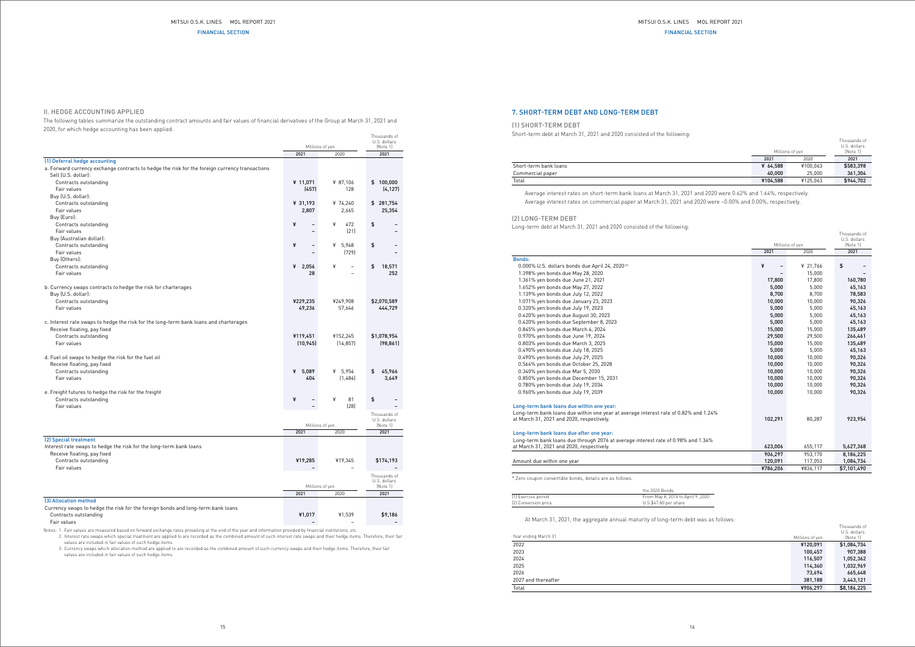# II. HEDGE ACCOUNTING APPLIED

The following tables summarize the outstanding contract amounts and fair values of financial derivatives of the Group at March 31, 2021 and 2020, for which hedge accounting has been applied.

|                                                                                                |                          |            | Thousands of<br>U.S. dollars |  |
|------------------------------------------------------------------------------------------------|--------------------------|------------|------------------------------|--|
|                                                                                                | Millions of yen          |            | (Note 1)                     |  |
|                                                                                                | 2021                     | 2020       | 2021                         |  |
| (1) Deferral hedge accounting                                                                  |                          |            |                              |  |
| a. Forward currency exchange contracts to hedge the risk for the foreign currency transactions |                          |            |                              |  |
| Sell (U.S. dollar):                                                                            |                          |            |                              |  |
| Contracts outstanding                                                                          | ¥ 11,071                 | ¥ 87,106   | \$100,000                    |  |
| Fair values                                                                                    | (457)                    | 128        | (4, 127)                     |  |
| Buy (U.S. dollar):                                                                             |                          |            |                              |  |
| Contracts outstanding                                                                          | ¥ 31,193                 | ¥ 74,240   | \$ 281,754                   |  |
| Fair values                                                                                    | 2,807                    | 2,665      | 25,354                       |  |
| Buy (Euro):                                                                                    |                          |            |                              |  |
| Contracts outstanding                                                                          | ¥                        | ¥<br>472   | \$                           |  |
| Fair values                                                                                    | $\overline{\phantom{0}}$ | (21)       |                              |  |
| Buy (Australian dollar):                                                                       |                          |            |                              |  |
| Contracts outstanding                                                                          | ¥<br>$\overline{a}$      | ¥<br>5,948 | \$                           |  |
| Fair values                                                                                    | $\overline{a}$           | (729)      |                              |  |
| Buy (Others):                                                                                  |                          |            |                              |  |
| Contracts outstanding                                                                          | ¥<br>2,056               | ¥          | \$<br>18,571                 |  |
| Fair values                                                                                    | 28                       |            | 252                          |  |
|                                                                                                |                          |            |                              |  |
| b. Currency swaps contracts to hedge the risk for charterages                                  |                          |            |                              |  |
| Buy (U.S. dollar):                                                                             |                          |            |                              |  |
| Contracts outstanding                                                                          | ¥229,235                 | ¥249,908   | \$2,070,589                  |  |
| Fair values                                                                                    | 49,236                   | 57,646     | 444,729                      |  |
|                                                                                                |                          |            |                              |  |
| c. Interest rate swaps to hedge the risk for the long-term bank loans and charterages          |                          |            |                              |  |
| Receive floating, pay fixed                                                                    |                          |            |                              |  |
|                                                                                                |                          |            |                              |  |
| Contracts outstanding                                                                          | ¥119,451                 | ¥152,245   | \$1,078,954                  |  |
| Fair values                                                                                    | (10, 945)                | (14, 857)  | (98, 861)                    |  |
|                                                                                                |                          |            |                              |  |
| d. Fuel oil swaps to hedge the risk for the fuel oil                                           |                          |            |                              |  |
| Receive floating, pay fixed                                                                    |                          |            |                              |  |
| Contracts outstanding                                                                          | ¥<br>5,089               | ¥ 5,954    | \$<br>45,966                 |  |
| Fair values                                                                                    | 404                      | (1,484)    | 3,649                        |  |
|                                                                                                |                          |            |                              |  |
| e. Freight futures to hedge the risk for the freight                                           |                          |            |                              |  |
| Contracts outstanding                                                                          | ¥                        | ¥<br>81    | \$                           |  |
| Fair values                                                                                    |                          | (28)       |                              |  |
|                                                                                                |                          |            | Thousands of                 |  |
|                                                                                                | Millions of yen          |            | U.S. dollars<br>(Note 1)     |  |
|                                                                                                | 2021                     | 2020       | 2021                         |  |
| (2) Special treatment                                                                          |                          |            |                              |  |
|                                                                                                |                          |            |                              |  |
| Interest rate swaps to hedge the risk for the long-term bank loans                             |                          |            |                              |  |
| Receive floating, pay fixed                                                                    |                          |            |                              |  |
| Contracts outstanding                                                                          | ¥19,285                  | ¥19,345    | \$174,193                    |  |
| Fair values                                                                                    |                          |            |                              |  |
|                                                                                                |                          |            | Thousands of                 |  |
|                                                                                                | Millions of yen          |            | U.S. dollars<br>(Note 1)     |  |
|                                                                                                | 2021                     | 2020       | 2021                         |  |
| [3] Allocation method                                                                          |                          |            |                              |  |
|                                                                                                |                          |            |                              |  |
| Currency swaps to hedge the risk for the foreign bonds and long-term bank loans                | ¥1,017                   | ¥1,539     | \$9,186                      |  |
| Contracts outstanding                                                                          |                          |            |                              |  |
| Fair values                                                                                    |                          |            |                              |  |

Notes: 1. Fair values are measured based on forward exchange rates prevailing at the end of the year and information provided by financial institutions, etc.

2. Interest rate swaps which special treatment are applied to are recorded as the combined amount of such interest rate swaps and their hedge items. Therefore, their fair values are included in fair values of such hedge items. 3. Currency swaps which allocation method are applied to are recorded as the combined amount of such currency swaps and their hedge items. Therefore, their fair

values are included in fair values of such hedge items.

# 7. SHORT-TERM DEBT AND LONG-TERM DEBT

#### (1) SHORT-TERM DEBT

Short-term debt at March 31, 2021 and 2020 consisted of the following:

| Short-term bank loans |  |
|-----------------------|--|
|                       |  |
| Commercial paper      |  |
| Total                 |  |
|                       |  |

#### Millions of yen Thousands of U.S. dollars (Note 1) 2021 2020 2021 Short-term bank loans ¥ 64,588 ¥100,063 \$583,398 Commercial paper 40,000 25,000 361,304 Total ¥104,588 ¥125,063 \$944,702

Average interest rates on short-term bank loans at March 31, 2021 and 2020 were 0.62% and 1.64%, respectively. Average interest rates on commercial paper at March 31, 2021 and 2020 were –0.00% and 0.00%, respectively.

#### (2) LONG-TERM DEBT

Long-term debt at March 31, 2021 and 2020 consisted of the following:

| Bonds:                                  |
|-----------------------------------------|
| 0.000% U.S. dollars bonds due April 24. |
| 1.398% yen bonds due May 28, 2020       |
| 1.361% yen bonds due June 21, 2021      |
| 1.652% yen bonds due May 27, 2022       |
| 1.139% yen bonds due July 12, 2022      |
| 1.071% yen bonds due January 23, 2023   |
| 0.320% yen bonds due July 19, 2023      |
| 0.420% yen bonds due August 30, 2023    |
| 0.420% yen bonds due September 8, 202   |
| 0.845% yen bonds due March 4, 2024      |
| 0.970% yen bonds due June 19, 2024      |
| 0.803% yen bonds due March 3, 2025      |
| 0.490% yen bonds due July 18, 2025      |
| 0.490% yen bonds due July 29, 2025      |
| 0.564% yen bonds due October 25, 2028   |
| 0.340% yen bonds due Mar 5, 2030        |

|                                                                                      |          |                 | Thousands of<br>U.S. dollars |
|--------------------------------------------------------------------------------------|----------|-----------------|------------------------------|
|                                                                                      |          | Millions of yen | (Note 1)                     |
|                                                                                      | 2021     | 2020            | 2021                         |
| Bonds:                                                                               |          |                 |                              |
| 0.000% U.S. dollars bonds due April 24, 2020 <sup>(*)</sup>                          | ¥        | ¥ 21,766        | \$                           |
| 1.398% yen bonds due May 28, 2020                                                    |          | 15,000          |                              |
| 1.361% yen bonds due June 21, 2021                                                   | 17,800   | 17,800          | 160,780                      |
| 1.652% yen bonds due May 27, 2022                                                    | 5,000    | 5,000           | 45,163                       |
| 1.139% yen bonds due July 12, 2022                                                   | 8,700    | 8,700           | 78,583                       |
| 1.071% yen bonds due January 23, 2023                                                | 10.000   | 10,000          | 90,326                       |
| 0.320% yen bonds due July 19, 2023                                                   | 5,000    | 5,000           | 45,163                       |
| 0.420% yen bonds due August 30, 2023                                                 | 5,000    | 5,000           | 45,163                       |
| 0.420% yen bonds due September 8, 2023                                               | 5,000    | 5,000           | 45,163                       |
| 0.845% yen bonds due March 4, 2024                                                   | 15,000   | 15,000          | 135,489                      |
| 0.970% yen bonds due June 19, 2024                                                   | 29,500   | 29,500          | 266,461                      |
| 0.803% yen bonds due March 3, 2025                                                   | 15,000   | 15,000          | 135,489                      |
| 0.490% yen bonds due July 18, 2025                                                   | 5,000    | 5,000           | 45,163                       |
| 0.490% yen bonds due July 29, 2025                                                   | 10,000   | 10,000          | 90,326                       |
| 0.564% yen bonds due October 25, 2028                                                | 10,000   | 10,000          | 90,326                       |
| 0.340% yen bonds due Mar 5, 2030                                                     | 10,000   | 10,000          | 90,326                       |
| 0.850% yen bonds due December 15, 2031                                               | 10,000   | 10,000          | 90,326                       |
| 0.780% yen bonds due July 19, 2034                                                   | 10,000   | 10,000          | 90,326                       |
| 0.960% yen bonds due July 19, 2039                                                   | 10,000   | 10,000          | 90,326                       |
| Long-term bank loans due within one year:                                            |          |                 |                              |
| Long-term bank loans due within one year at average interest rate of 0.82% and 1.24% |          |                 |                              |
| at March 31, 2021 and 2020, respectively.                                            | 102,291  | 80,287          | 923,954                      |
| Long-term bank loans due after one year:                                             |          |                 |                              |
| Long-term bank loans due through 2076 at average interest rate of 0.98% and 1.34%    |          |                 |                              |
| at March 31, 2021 and 2020, respectively.                                            | 623,006  | 655,117         | 5,627,368                    |
|                                                                                      | 906,297  | 953,170         | 8,186,225                    |
| Amount due within one year                                                           | 120.091  | 117,053         | 1,084,734                    |
|                                                                                      | ¥786,206 | ¥836,117        | \$7,101,490                  |

# Long-term bank loans due within one year:

#### Long-term bank loans due after one year:

| Amount due within one year |
|----------------------------|
|----------------------------|

\* Zero coupon convertible bonds, details are as follows.

|                      | the 2020 Bonds         |
|----------------------|------------------------|
| [1] Exercise period  | From May 8, 2014 to Ap |
| [2] Conversion price | U.S.\$47.80 per share  |
|                      |                        |

At March 31, 2021, the aggregate annual maturity of long-term debt was as follows:

Thousands of

oril 9, 2020

| Year ending March 31<br>(Note 1)<br>Millions of yen<br>2022<br>¥120,091<br>2023<br>100,457<br>2024<br>116,507<br>2025<br>114,360<br>2026<br>73,694<br>381,188<br>2027 and thereafter<br>Total<br>¥906.297 |  | THUUSBHUS UT<br>U.S. dollars |
|-----------------------------------------------------------------------------------------------------------------------------------------------------------------------------------------------------------|--|------------------------------|
|                                                                                                                                                                                                           |  |                              |
|                                                                                                                                                                                                           |  | \$1,084,734                  |
|                                                                                                                                                                                                           |  | 907,388                      |
|                                                                                                                                                                                                           |  | 1,052,362                    |
|                                                                                                                                                                                                           |  | 1,032,969                    |
|                                                                                                                                                                                                           |  | 665,648                      |
|                                                                                                                                                                                                           |  | 3,443,121                    |
|                                                                                                                                                                                                           |  | \$8,186,225                  |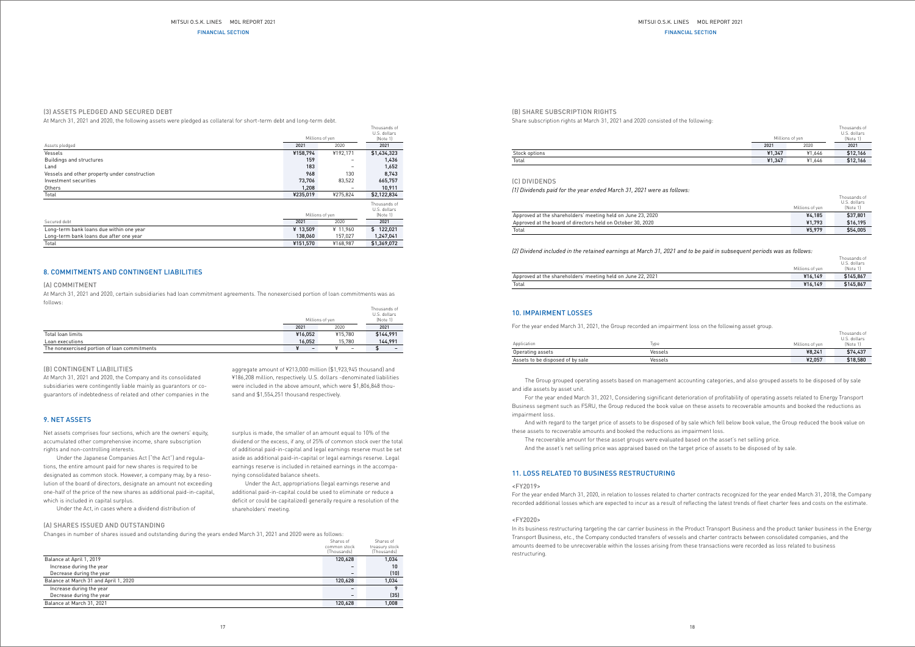# (3) ASSETS PLEDGED AND SECURED DEBT

At March 31, 2021 and 2020, the following assets were pledged as collateral for short-term debt and long-term debt.

|                                               |                 |          | Thousands of<br>U.S. dollars |
|-----------------------------------------------|-----------------|----------|------------------------------|
|                                               | Millions of yen |          | (Note 1)                     |
| Assets pledged                                | 2021            | 2020     | 2021                         |
| Vessels                                       | ¥158,794        | ¥192.171 | \$1,434,323                  |
| Buildings and structures                      | 159             |          | 1,436                        |
| Land                                          | 183             |          | 1,652                        |
| Vessels and other property under construction | 968             | 130      | 8,743                        |
| Investment securities                         | 73,706          | 83,522   | 665,757                      |
| Others                                        | 1,208           |          | 10,911                       |
| Total                                         | ¥235,019        | ¥275,824 | \$2,122,834                  |
|                                               |                 |          | Thousands of<br>U.S. dollars |
|                                               | Millions of yen |          | (Note 1)                     |
| Secured debt                                  | 2021            | 2020     | 2021                         |
| Long-term bank loans due within one year      | ¥ 13,509        | ¥ 11.960 | 122,021<br>\$                |
| Long-term bank loans due after one year       | 138,060         | 157,027  | 1,247,041                    |
| Total                                         | ¥151,570        | ¥168,987 | \$1,369,072                  |

# 8. COMMITMENTS AND CONTINGENT LIABILITIES

### (A) COMMITMENT

At March 31, 2021 and 2020, certain subsidiaries had loan commitment agreements. The nonexercised portion of loan commitments was as follows:

|                                              |                          | Millions of ven          | Thousands of<br>U.S. dollars<br>[Note 1] |
|----------------------------------------------|--------------------------|--------------------------|------------------------------------------|
|                                              | 2021                     | 2020                     | 2021                                     |
| Total loan limits                            | ¥16.052                  | ¥15.780                  | \$144.991                                |
| Loan executions                              | 16.052                   | 15.780                   | 144.991                                  |
| The nonexercised portion of loan commitments | $\overline{\phantom{0}}$ | $\overline{\phantom{a}}$ | $\overline{\phantom{0}}$                 |

# (B) CONTINGENT LIABILITIES

At March 31, 2021 and 2020, the Company and its consolidated subsidiaries were contingently liable mainly as guarantors or coguarantors of indebtedness of related and other companies in the aggregate amount of ¥213,000 million (\$1,923,945 thousand) and ¥186,208 million, respectively. U.S. dollars -denominated liabilities were included in the above amount, which were \$1,806,848 thousand and \$1,554,251 thousand respectively.

# 9. NET ASSETS

Net assets comprises four sections, which are the owners' equity, accumulated other comprehensive income, share subscription rights and non-controlling interests.

Under the Japanese Companies Act ("the Act") and regulations, the entire amount paid for new shares is required to be designated as common stock. However, a company may, by a resolution of the board of directors, designate an amount not exceeding one-half of the price of the new shares as additional paid-in-capital, which is included in capital surplus.

Under the Act, in cases where a dividend distribution of

surplus is made, the smaller of an amount equal to 10% of the dividend or the excess, if any, of 25% of common stock over the total of additional paid-in-capital and legal earnings reserve must be set aside as additional paid-in-capital or legal earnings reserve. Legal earnings reserve is included in retained earnings in the accompa-

nying consolidated balance sheets.

Under the Act, appropriations (legal earnings reserve and additional paid-in-capital could be used to eliminate or reduce a deficit or could be capitalized) generally require a resolution of the

shareholders' meeting.

# (A) SHARES ISSUED AND OUTSTANDING

Changes in number of shares issued and outstanding during the years ended March 31, 2021 and 2020 were as follows:

Shares of

|                                       | Shares of          | Shares of      |
|---------------------------------------|--------------------|----------------|
|                                       | common stock       | treasury stock |
|                                       | <i>(Thousands)</i> | (Thousands)    |
| Balance at April 1, 2019              | 120.628            | 1,034          |
| Increase during the year              |                    | 10             |
| Decrease during the year              |                    | (10)           |
| Balance at March 31 and April 1, 2020 | 120.628            | 1,034          |
| Increase during the year              |                    |                |
| Decrease during the year              |                    | (35)           |
| Balance at March 31, 2021             | 120.628            | 1,008          |

# (B) SHARE SUBSCRIPTION RIGHTS

Share subscription rights at March 31, 2021 and 2020 consisted of the following:

| options |  |  |  |
|---------|--|--|--|
|         |  |  |  |

| ___<br>$\sim$<br>$\sim$ |        | Millions of ven | Thousands of<br>U.S. dollars<br>(Note 1) |
|-------------------------|--------|-----------------|------------------------------------------|
|                         | 2021   | 2020            | 2021                                     |
| Stock options           | ¥1.347 | ¥1.646          | \$12,166                                 |
| Total                   | ¥1,347 | ¥1.646          | \$12,166                                 |

(C) DIVIDENDS

*(1) Dividends paid for the year ended March 31, 2021 were as follows:*

|                                                             | Millions of ven | Thousands of<br>U.S. dollars<br>[Note 1] |
|-------------------------------------------------------------|-----------------|------------------------------------------|
|                                                             |                 |                                          |
| Approved at the shareholders' meeting held on June 23, 2020 | ¥4.185          | \$37,801                                 |
| Approved at the board of directors held on October 30, 2020 | ¥1.793          | \$16.195                                 |
| Total                                                       | ¥5.979          | \$54.005                                 |

*(2) Dividend included in the retained earnings at March 31, 2021 and to be paid in subsequent periods was as follows:*

|                                                             | Millions of ven | Thousands of<br>U.S. dollars<br>[Note 1] |
|-------------------------------------------------------------|-----------------|------------------------------------------|
| Approved at the shareholders' meeting held on June 22, 2021 | ¥16.149         | \$145,867                                |
| Total                                                       | ¥16.149         | \$145,867                                |
|                                                             |                 |                                          |

# 10. IMPAIRMENT LOSSES

For the year ended March 31, 2021, the Group recorded an impairment loss on the following asset group.

| Application                      | Type    | Millions of ven | Thousands of<br>U.S. dollars<br>(Note 1) |
|----------------------------------|---------|-----------------|------------------------------------------|
| Operating assets                 | Vessels | ¥8.241          | \$74,437                                 |
| Assets to be disposed of by sale | Vessels | ¥2.057          | \$18,580                                 |

The Group grouped operating assets based on management accounting categories, and also grouped assets to be disposed of by sale and idle assets by asset unit.

For the year ended March 31, 2021, Considering significant deterioration of profitability of operating assets related to Energy Transport Business segment such as FSRU, the Group reduced the book value on these assets to recoverable amounts and booked the reductions as impairment loss.

And with regard to the target price of assets to be disposed of by sale which fell below book value, the Group reduced the book value on these assets to recoverable amounts and booked the reductions as impairment loss.

The recoverable amount for these asset groups were evaluated based on the asset's net selling price.

And the asset's net selling price was appraised based on the target price of assets to be disposed of by sale.

# 11. LOSS RELATED TO BUSINESS RESTRUCTURING

# <FY2019>

For the year ended March 31, 2020, in relation to losses related to charter contracts recognized for the year ended March 31, 2018, the Company recorded additional losses which are expected to incur as a result of reflecting the latest trends of fleet charter fees and costs on the estimate.

# <FY2020>

In its business restructuring targeting the car carrier business in the Product Transport Business and the product tanker business in the Energy Transport Business, etc., the Company conducted transfers of vessels and charter contracts between consolidated companies, and the amounts deemed to be unrecoverable within the losses arising from these transactions were recorded as loss related to business restructuring.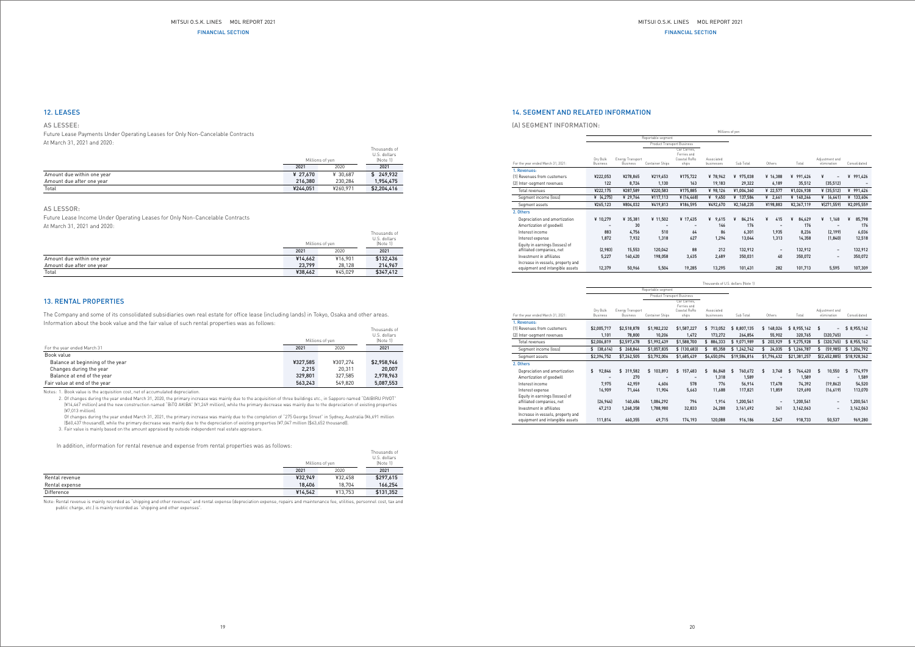# 12. LEASES

# AS LESSEE:

Future Lease Payments Under Operating Leases for Only Non-Cancelable Contracts At March 31, 2021 and 2020:

| At March on, 2021 and 2020. |          | Millions of ven | Thousands of<br>U.S. dollars<br>[Note 1] |
|-----------------------------|----------|-----------------|------------------------------------------|
|                             | 2021     | 2020            | 2021                                     |
| Amount due within one year  | ¥ 27.670 | ¥ 30.687        | \$249,932                                |
| Amount due after one year   | 216.380  | 230.284         | 1,954,475                                |
| Total                       | ¥244.051 | ¥260.971        | \$2,204,416                              |

#### AS LESSOR:

Future Lease Income Under Operating Leases for Only Non-Cancelable Contracts At March 31, 2021 and 2020:

Thousands of

|                            |         | Millions of ven | THUUSGHUS UT<br>U.S. dollars<br>[Note 1] |
|----------------------------|---------|-----------------|------------------------------------------|
|                            | 2021    | 2020            | 2021                                     |
| Amount due within one year | ¥14.662 | ¥16.901         | \$132.436                                |
| Amount due after one year  | 23.799  | 28.128          | 214.967                                  |
| Total                      | ¥38.462 | ¥45.029         | \$347.412                                |

# 13. RENTAL PROPERTIES

2. Of changes during the year ended March 31, 2020, the primary increase was mainly due to the acquisition of three buildings etc., in Sapporo named "DAIBIRU PIVOT"<br>Wi4,467 million) and the new construction named "BiTO AKI (¥7,013 million).

Of changes during the year ended March 31, 2021, the primary increase was mainly due to the completion of "275 George Street" in Sydney, Australia (¥6,691 million<br>(\$60,437 thousand), while the primary decrease was mainly d

The Company and some of its consolidated subsidiaries own real estate for office lease (including lands) in Tokyo, Osaka and other areas. Information about the book value and the fair value of such rental properties was as follows:

| morniquon aboat the book value and the ran-value or buch rental properties was as rottows. |          |                 | Thousands of<br>U.S. dollars |  |
|--------------------------------------------------------------------------------------------|----------|-----------------|------------------------------|--|
|                                                                                            |          | Millions of ven |                              |  |
| For the year ended March 31                                                                | 2021     | 2020            | 2021                         |  |
| Book value                                                                                 |          |                 |                              |  |
| Balance at beginning of the year                                                           | ¥327,585 | ¥307.274        | \$2,958,946                  |  |
| Changes during the year                                                                    | 2.215    | 20.311          | 20.007                       |  |
| Balance at end of the year                                                                 | 329.801  | 327.585         | 2.978.963                    |  |
| Fair value at end of the year                                                              | 563.243  | 549.820         | 5,087,553                    |  |

Notes: 1. Book value is the acquisition cost, net of accumulated depreciation.

In addition, information for rental revenue and expense from rental properties was as follows:

|                |         |                 | Thousands of             |
|----------------|---------|-----------------|--------------------------|
|                |         | Millions of ven | U.S. dollars<br>[Note 1] |
|                | 2021    | 2020            | 2021                     |
| Rental revenue | ¥32.949 | ¥32.458         | \$297,615                |
| Rental expense | 18.406  | 18.704          | 166,254                  |
| Difference     | ¥14.542 | ¥13.753         | \$131,352                |

Note: Rental revenue is mainly recorded as "shipping and other revenues" and rental expense (depreciation expense, repairs and maintenance fee, utilities, personnel cost, tax and public charge, etc.) is mainly recorded as "shipping and other expenses".

## 14. SEGMENT AND RELATED INFORMATION

(A) SEGMENT INFORMATION:

# Millions of yen

|                                                                      |                             |                                     | Reportable segment         |                                                      |                          |             |          |             |                               |              |
|----------------------------------------------------------------------|-----------------------------|-------------------------------------|----------------------------|------------------------------------------------------|--------------------------|-------------|----------|-------------|-------------------------------|--------------|
|                                                                      |                             |                                     |                            |                                                      |                          |             |          |             |                               |              |
|                                                                      |                             |                                     | Product Transport Business |                                                      |                          |             |          |             |                               |              |
| For the year ended March 31, 2021:                                   | Dry Bulk<br><b>Business</b> | Energy Transport<br><b>Business</b> | Container Ships            | Car Carries.<br>Ferries and<br>Coastal RoRo<br>ships | Associated<br>businesses | Sub Total   | Others   | Total       | Adjustment and<br>elimination | Consolidated |
| 1. Revenues:                                                         |                             |                                     |                            |                                                      |                          |             |          |             |                               |              |
| (1) Revenues from customers                                          | ¥222,053                    | ¥278,865                            | ¥219.453                   | ¥175,722                                             | ¥ 78,942                 | ¥ 975,038   | ¥ 16,388 | ¥ 991,426   | ¥                             | ¥<br>991,426 |
| (2) Inter-segment revenues                                           | 122                         | 8,724                               | 1,130                      | 163                                                  | 19,183                   | 29,322      | 6,189    | 35,512      | (35, 512)                     |              |
| Total revenues                                                       | ¥222,175                    | ¥287,589                            | ¥220,583                   | ¥175,885                                             | ¥ 98,126                 | ¥1,004,360  | ¥ 22,577 | ¥1,026,938  | $¥$ $(35,512)$                | ¥ 991,426    |
| Segment income (loss)                                                | ¥ $[4, 275]$                | ¥ 29,764                            | ¥117,113                   | ¥ [14,468]                                           | ¥ 9,450                  | ¥ 137,584   | ¥ 2,661  | ¥ 140,246   | ¥ $[6, 641]$                  | ¥ 133,604    |
| Segment assets                                                       | ¥265,123                    | ¥804,032                            | ¥419,813                   | ¥186,595                                             | ¥492,670                 | ¥2,168,235  | ¥198,883 | ¥2,367,119  | ¥[271,559]                    | ¥2,095,559   |
| 2. Others                                                            |                             |                                     |                            |                                                      |                          |             |          |             |                               |              |
| Depreciation and amortization                                        | ¥ 10,279                    | ¥ 35.381                            | ¥ 11,502                   | ¥ 17,435                                             | ¥<br>9,615               | ¥<br>84,214 | ¥<br>415 | ¥<br>84.629 | ¥<br>1.168                    | ¥<br>85,798  |
| Amortization of goodwill                                             | ٠                           | 30                                  | $\overline{\phantom{0}}$   | $\overline{\phantom{0}}$                             | 146                      | 176         |          | 176         |                               | 176          |
| Interest income                                                      | 883                         | 4,756                               | 510                        | 64                                                   | 86                       | 6,301       | 1,935    | 8,236       | (2, 199)                      | 6,036        |
| Interest expense                                                     | 1,872                       | 7,932                               | 1,318                      | 627                                                  | 1,294                    | 13,044      | 1,313    | 14,358      | (1,840)                       | 12,518       |
| Equity in earnings (losses) of<br>affiliated companies, net          | (2,983)                     | 15,553                              | 120,042                    | 88                                                   | 212                      | 132,912     |          | 132,912     | -                             | 132,912      |
| Investment in affiliates                                             | 5,227                       | 140,420                             | 198,058                    | 3,635                                                | 2,689                    | 350,031     | 40       | 350,072     | $\overline{\phantom{0}}$      | 350,072      |
| Increase in vessels, property and<br>equipment and intangible assets | 12,379                      | 50,966                              | 5,504                      | 19,285                                               | 13,295                   | 101,431     | 282      | 101,713     | 5,595                         | 107,309      |

Thousands of U.S. dollars (Note 1)

|                                                                      |                             |                                     |                                   |                                                      |                          | Thousands of O.S. dottals inote it |                          |               |                               |               |
|----------------------------------------------------------------------|-----------------------------|-------------------------------------|-----------------------------------|------------------------------------------------------|--------------------------|------------------------------------|--------------------------|---------------|-------------------------------|---------------|
|                                                                      |                             |                                     | Reportable segment                |                                                      |                          |                                    |                          |               |                               |               |
|                                                                      |                             |                                     | <b>Product Transport Business</b> |                                                      |                          |                                    |                          |               |                               |               |
| For the year ended March 31, 2021:                                   | Dry Bulk<br><b>Business</b> | Energy Transport<br><b>Business</b> | Container Ships                   | Car Carries.<br>Ferries and<br>Coastal RoRo<br>ships | Associated<br>businesses | Sub Total                          | Others                   | Total         | Adjustment and<br>elimination | Consolidated  |
| 1. Revenues:                                                         |                             |                                     |                                   |                                                      |                          |                                    |                          |               |                               |               |
| [1] Revenues from customers                                          | \$2,005.717                 | \$2,518,878                         | \$1,982,232                       | \$1,587,227                                          | 713,052<br>\$            | \$8,807,135                        | 148,026<br>\$            | \$8,955,162   | \$                            | \$8,955,162   |
| (2) Inter-segment revenues                                           | 1,101                       | 78,800                              | 10,206                            | 1,472                                                | 173,272                  | 264,854                            | 55,902                   | 320,765       | (320, 765)                    |               |
| Total revenues                                                       | \$2,006,819                 | \$2,597,678                         | \$1,992,439                       | \$1,588,700                                          | 886,333<br>\$            | \$9,071,989                        | \$<br>203,929            | \$9,275,928   | $$^{(320,765)}$               | \$8,955,162   |
| Segment income (loss)                                                | (38,614)<br>\$              | \$268,846                           | \$1,057,835                       | \$[130,683]                                          | 85,358                   | \$1,242,742                        | \$<br>24,035             | \$1,266,787   | (59, 985)<br>S.               | \$1,206,792   |
| Segment assets                                                       | \$2,394,752                 | \$7,262,505                         | \$3,792,006                       | \$1,685,439                                          | \$4,450,094              | \$19,584,816                       | \$1,796,432              | \$21,381,257  | \$(2,452,885)                 | \$18,928,362  |
| 2. Others                                                            |                             |                                     |                                   |                                                      |                          |                                    |                          |               |                               |               |
| Depreciation and amortization                                        | \$<br>92,846                | \$319,582                           | \$103,893                         | \$157,483                                            | 86,848<br>\$             | 760,672<br>\$                      | \$<br>3.748              | \$<br>764.420 | \$<br>10,550                  | 774,979<br>\$ |
| Amortization of goodwill                                             |                             | 270                                 |                                   | $\qquad \qquad$                                      | 1,318                    | 1,589                              | $\qquad \qquad$          | 1,589         | $\overline{\phantom{0}}$      | 1,589         |
| Interest income                                                      | 7,975                       | 42,959                              | 4,606                             | 578                                                  | 776                      | 56,914                             | 17,478                   | 74,392        | (19, 862)                     | 54,520        |
| Interest expense                                                     | 16,909                      | 71,646                              | 11,904                            | 5,663                                                | 11,688                   | 117,821                            | 11,859                   | 129,690       | (16, 619)                     | 113,070       |
| Equity in earnings (losses) of                                       |                             |                                     |                                   |                                                      |                          |                                    |                          |               |                               |               |
| affiliated companies, net                                            | (26, 944)                   | 140,484                             | 1,084,292                         | 794                                                  | 1,914                    | 1,200,541                          | $\overline{\phantom{a}}$ | 1,200,541     | -                             | 1,200,541     |
| Investment in affiliates                                             | 47,213                      | 1,268,358                           | 1,788,980                         | 32,833                                               | 24,288                   | 3,161,692                          | 361                      | 3,162,063     | -                             | 3,162,063     |
| Increase in vessels, property and<br>equipment and intangible assets | 111,814                     | 460,355                             | 49,715                            | 174,193                                              | 120,088                  | 916,186                            | 2,547                    | 918,733       | 50,537                        | 969,280       |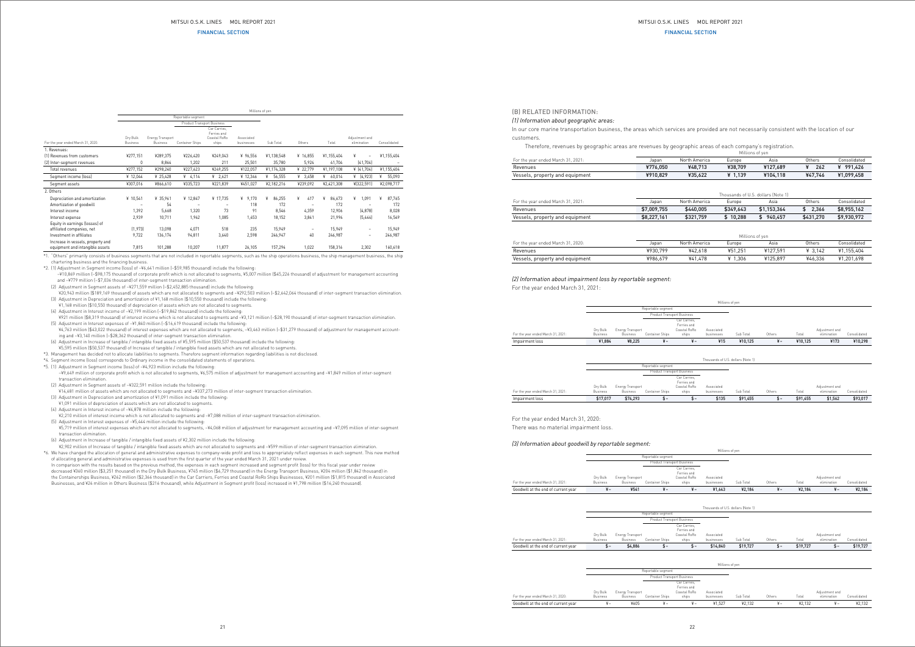Millions of yen

|                                                                      |                             |                                     |                        |                                                      | contracted at least      |             |           |             |                               |              |
|----------------------------------------------------------------------|-----------------------------|-------------------------------------|------------------------|------------------------------------------------------|--------------------------|-------------|-----------|-------------|-------------------------------|--------------|
|                                                                      |                             |                                     | Reportable segment     |                                                      |                          |             |           |             |                               |              |
|                                                                      |                             |                                     |                        | Product Transport Business                           |                          |             |           |             |                               |              |
| For the year ended March 31, 2020:                                   | Dry Bulk<br><b>Business</b> | Energy Transport<br><b>Business</b> | <b>Container Ships</b> | Car Carries,<br>Ferries and<br>Coastal RoRo<br>ships | Associated<br>businesses | Sub Total   | Others    | Total       | Adjustment and<br>elimination | Consolidated |
| 1. Revenues:                                                         |                             |                                     |                        |                                                      |                          |             |           |             |                               |              |
| (1) Revenues from customers                                          | ¥277,151                    | ¥289,375                            | ¥226,420               | ¥249,043                                             | ¥ 96,556                 | ¥1,138,548  | ¥ 16,855  | ¥1,155,404  | ¥<br>٠                        | ¥1,155,404   |
| (2) Inter-segment revenues                                           | 0                           | 8,864                               | 1,202                  | 211                                                  | 25,501                   | 35,780      | 5,924     | 41,704      | [41, 704]                     |              |
| Total revenues                                                       | ¥277,152                    | ¥298,240                            | ¥227,623               | ¥249,255                                             | ¥122,057                 | ¥1,174,328  | ¥ 22,779  | ¥1,197,108  | ¥ [41,704]                    | ¥1,155,404   |
| Segment income (loss)                                                | ¥ 12,044                    | ¥ 25,428                            | 44.114                 | ¥ $2,621$                                            | ¥ 12,346                 | ¥<br>56,555 | ¥ $3,458$ | ¥<br>60,014 | ¥ $[4,923]$                   | ¥<br>55,090  |
| Segment assets                                                       | ¥307,016                    | ¥866,610                            | ¥335,723               | ¥221,839                                             | ¥451,027                 | ¥2,182,216  | ¥239,092  | ¥2,421,308  | ¥(322,591)                    | ¥2,098,717   |
| 2. Others                                                            |                             |                                     |                        |                                                      |                          |             |           |             |                               |              |
| Depreciation and amortization                                        | ¥ 10,541                    | ¥ 35,961                            | ¥ 12,847               | ¥ 17,735                                             | ¥ 9.170                  | 86,255<br>¥ | ¥<br>417  | ¥<br>86,673 | ¥<br>1,091                    | ¥<br>87,765  |
| Amortization of goodwill                                             | -                           | 54                                  | -                      | $\overline{\phantom{a}}$                             | 118                      | 172         | ٠         | 172         | $\overline{\phantom{0}}$      | 172          |
| Interest income                                                      | 1,392                       | 5,668                               | 1,320                  | 73                                                   | 91                       | 8,546       | 4,359     | 12,906      | [4,878]                       | 8,028        |
| Interest expense                                                     | 2,939                       | 10,711                              | 1,962                  | 1,085                                                | 1,453                    | 18,152      | 3,841     | 21,994      | [5,444]                       | 16,549       |
| Equity in earnings (losses) of<br>affiliated companies, net          | (1, 973)                    | 13,098                              | 4,071                  | 518                                                  | 235                      | 15,949      | -         | 15,949      |                               | 15,949       |
| Investment in affiliates                                             | 9,722                       | 136,174                             | 94,811                 | 3,640                                                | 2,598                    | 246,947     | 40        | 246,987     | -                             | 246,987      |
| Increase in vessels, property and<br>equipment and intangible assets | 7,815                       | 101,288                             | 10,207                 | 11,877                                               | 26,105                   | 157,294     | 1,022     | 158,316     | 2,302                         | 160,618      |

\*1. "Others" primarily consists of business segments that are not included in reportable segments, such as the ship operations business, the ship management business, the ship chartering business and the financing business.

\*2. (1) Adjustment in Segment income (loss) of –¥6,641 million (–\$59,985 thousand) include the following:

–¥10,869 million (–\$98,175 thousand) of corporate profit which is not allocated to segments, ¥5,007 million (\$45,226 thousand) of adjustment for management accounting and –¥779 million (–\$7,036 thousand) of inter-segment transaction elimination.

(2) Adjustment in Segment assets of –¥271,559 million (–\$2,452,885 thousand) include the following:

¥20,943 million (\$189,169 thousand) of assets which are not allocated to segments and –¥292,503 million (–\$2,642,064 thousand) of inter-segment transaction elimination. (3) Adjustment in Depreciation and amortization of ¥1,168 million (\$10,550 thousand) include the following:

¥1,168 million (\$10,550 thousand) of depreciation of assets which are not allocated to segments.

(4) Adjustment in Interest income of –¥2,199 million (–\$19,862 thousand) include the following:

¥921 million (\$8,319 thousand) of interest income which is not allocated to segments and –¥3,121 million (–\$28,190 thousand) of inter-segment transaction elimination. (5) Adjustment in Interest expenses of –¥1,840 million (–\$16,619 thousand) include the following:

- ¥4,763 million (\$43,022 thousand) of interest expenses which are not allocated to segments, –¥3,463 million (–\$31,279 thousand) of adjustment for management accounting and –¥3,140 million (-\$28,362 thousand) of inter-segment transaction elimination
- (6) Adjustment in Increase of tangible / intangible fixed assets of ¥5,595 million (\$50,537 thousand) include the following:

¥5,595 million (\$50,537 thousand) of Increase of tangible / intangible fixed assets which are not allocated to segments.

- \*3. Management has decided not to allocate liabilities to segments. Therefore segment information regarding liabilities is not disclosed.
- \*4. Segment income (loss) corresponds to Ordinary income in the consolidated statements of operations.
- \*5. (1) Adjustment in Segment income (loss) of –¥4,923 million include the following:
	- –¥9,649 million of corporate profit which is not allocated to segments, ¥6,575 million of adjustment for management accounting and –¥1,849 million of inter-segment transaction elimination.

(2) Adjustment in Segment assets of –¥322,591 million include the following:

- ¥14,681 million of assets which are not allocated to segments and –¥337,273 million of inter-segment transaction elimination.
- (3) Adjustment in Depreciation and amortization of ¥1,091 million include the following:
- ¥1,091 million of depreciation of assets which are not allocated to segments.
- (4) Adjustment in Interest income of –¥4,878 million include the following:
- ¥2,210 million of interest income which is not allocated to segments and –¥7,088 million of inter-segment transaction elimination.
- (5) Adjustment in Interest expenses of –¥5,444 million include the following: ¥5,719 million of interest expenses which are not allocated to segments, –¥4,068 million of adjustment for management accounting and –¥7,095 million of inter-segment

transaction elimination.

(6) Adjustment in Increase of tangible / intangible fixed assets of ¥2,302 million include the following:

¥2,902 million of Increase of tangible / intangible fixed assets which are not allocated to segments and –¥599 million of inter-segment transaction elimination.

\*6. We have changed the allocation of general and administrative expenses to company-wide profit and loss to appropriately reflect expenses in each segment. This new method of allocating general and administrative expenses is used from the first quarter of the year ended March 31, 2021 under review. In comparison with the results based on the previous method, the expenses in each segment increased and segment profit (loss) for this fiscal year under review decreased ¥360 million (\$3,251 thousand) in the Dry Bulk Business, ¥745 million (\$6,729 thousand) in the Energy Transport Business, ¥204 million (\$1,842 thousand) in

the Containerships Business, ¥262 million (\$2,366 thousand) in the Car Carriers, Ferries and Coastal RoRo Ships Businesses, ¥201 million (\$1,815 thousand) in Associated Businesses, and ¥24 million in Others Business (\$216 thousand), while Adjustment in Segment profit (loss) increased in ¥1,798 million (\$16,240 thousand).

## (B) RELATED INFORMATION:

*(1) Information about geographic areas:*

In our core marine transportation business, the areas which services are provided are not necessarily consistent with the location of our customers.

Therefore, revenues by geographic areas are revenues by geographic areas of each company's registration.

Millions of yen

| For the year ended March 31, 2021: | Japan    | North America | Europe    | Asia     | Others  | Consolidated |
|------------------------------------|----------|---------------|-----------|----------|---------|--------------|
| Revenues                           | ¥776.050 | ¥48.713       | ¥38.709   | ¥127.689 | 262     | 991.426      |
| Vessels, property and equipment    | ¥910.829 | ¥35.622       | ¥ $1.139$ | ¥104.118 | ¥47.746 | ¥1.099.458   |

Thousands of U.S. dollars (Note 1)

| For the year ended March 31, 2021: | Japan       | North America | Europe    | Asia        | Others    | Consolidated |
|------------------------------------|-------------|---------------|-----------|-------------|-----------|--------------|
| Revenues                           | \$7.009.755 | \$440,005     | \$349.643 | \$1.153.364 | \$2.366   | \$8.955.162  |
| Vessels, property and equipment    | \$8,227,161 | \$321.759     | \$10.288  | \$940.457   | \$431.270 | \$9.930.972  |

Millions of yen

| For the year ended March 31, 2020: | Japan    | North America | Europe  | Asıa     | Others    | Consolidated |
|------------------------------------|----------|---------------|---------|----------|-----------|--------------|
| Revenues                           | ¥930.799 | ¥42.618       | ¥51.251 | ¥127.591 | ¥ $3.142$ | ¥1.155.404   |
| Vessels, property and equipment    | ¥986.679 | ¥41.478       | 1.306   | ¥125.897 | ¥46.336   | ¥1.201.698   |

*(2) Information about impairment loss by reportable segment:* For the year ended March 31, 2021:

Millions of yen

| Impairment loss                    | ¥1.884                      | ¥8.225                              | ¥-                                                   | ¥-                                                   | ¥15                      | ¥10.125   | ¥-     | ¥10.125 | ¥173                          | ¥10.298      |
|------------------------------------|-----------------------------|-------------------------------------|------------------------------------------------------|------------------------------------------------------|--------------------------|-----------|--------|---------|-------------------------------|--------------|
| For the year ended March 31, 2021: | Dry Bulk<br><b>Business</b> | Energy Transport<br><b>Business</b> | Product Transport Business<br><b>Container Ships</b> | Car Carries.<br>Ferries and<br>Coastal RoRo<br>ships | Associated<br>businesses | Sub Total | Others | Total   | Adjustment and<br>elimination | Consolidated |
|                                    |                             |                                     | Reportable segment                                   |                                                      |                          |           |        |         |                               |              |
|                                    |                             |                                     |                                                      |                                                      |                          |           |        |         |                               |              |

Thousands of U.S. dollars (Note 1)

Millions of ye

|                                    |                             |                                     | Reportable segment         |                                                      |                          |           |        |          |                               |              |
|------------------------------------|-----------------------------|-------------------------------------|----------------------------|------------------------------------------------------|--------------------------|-----------|--------|----------|-------------------------------|--------------|
|                                    |                             |                                     | Product Transport Business |                                                      |                          |           |        |          |                               |              |
| For the year ended March 31, 2021: | Dry Bulk<br><b>Business</b> | Energy Transport<br><b>Business</b> | Container Ships            | Car Carries.<br>Ferries and<br>Coastal RoRo<br>ships | Associated<br>businesses | Sub Total | Others | Total    | Adjustment and<br>elimination | Consolidated |
| Impairment loss                    | \$17.017                    | \$74,293                            |                            |                                                      | \$135                    | \$91.455  |        | \$91.455 | \$1,562                       | \$93.017     |

For the year ended March 31, 2020:

There was no material impairment loss.

#### *(3) Information about goodwill by reportable segment:*

| Goodwill at the end of current year | ¥-                          | ¥541                                | ¥-                 | ¥-                                                   | ¥1.643                   | ¥2.184    | ¥-     | ¥2.184 | ¥-                            | ¥2.184       |
|-------------------------------------|-----------------------------|-------------------------------------|--------------------|------------------------------------------------------|--------------------------|-----------|--------|--------|-------------------------------|--------------|
| For the year ended March 31, 2021:  | Dry Bulk<br><b>Business</b> | Energy Transport<br><b>Business</b> | Container Ships    | Car Carries.<br>Ferries and<br>Coastal RoRo<br>ships | Associated<br>businesses | Sub Total | Others | Total  | Adjustment and<br>elimination | Consolidated |
|                                     |                             |                                     | Reportable segment | Product Transport Business                           |                          |           |        |        |                               |              |
|                                     |                             |                                     |                    |                                                      |                          |           |        |        |                               |              |

| Reportable segment<br><b>Product Transport Business</b><br>Car Carries,<br>Ferries and<br>Dry Bulk<br>Coastal RoRo<br>Energy Transport<br>Adjustment and<br>Associated<br>Total<br>Sub Total<br>elimination<br>For the year ended March 31, 2021:<br>Consolidated<br><b>Business</b><br>Container Ships<br>Others<br>ships<br><b>Business</b><br>businesses<br>$$ -$<br>$$ -$<br>$$ -$<br>\$19,727<br>\$-<br>\$19,727<br>\$19,727<br>\$4,886<br>\$14,840<br>\$-<br>Goodwill at the end of current year<br>Millions of yen<br>Reportable segment<br><b>Product Transport Business</b><br>Car Carries,<br>Ferries and<br>Dry Bulk<br>Coastal RoRo<br>Energy Transport<br>Associated<br>Adjustment and<br>Total<br>Sub Total<br>elimination<br>For the year ended March 31, 2020:<br><b>Business</b><br>Container Ships<br>Others<br>Consolidated<br><b>Business</b><br>ships<br>businesses |  |  |  |  |  |  |
|------------------------------------------------------------------------------------------------------------------------------------------------------------------------------------------------------------------------------------------------------------------------------------------------------------------------------------------------------------------------------------------------------------------------------------------------------------------------------------------------------------------------------------------------------------------------------------------------------------------------------------------------------------------------------------------------------------------------------------------------------------------------------------------------------------------------------------------------------------------------------------------|--|--|--|--|--|--|
|                                                                                                                                                                                                                                                                                                                                                                                                                                                                                                                                                                                                                                                                                                                                                                                                                                                                                          |  |  |  |  |  |  |
|                                                                                                                                                                                                                                                                                                                                                                                                                                                                                                                                                                                                                                                                                                                                                                                                                                                                                          |  |  |  |  |  |  |
|                                                                                                                                                                                                                                                                                                                                                                                                                                                                                                                                                                                                                                                                                                                                                                                                                                                                                          |  |  |  |  |  |  |
|                                                                                                                                                                                                                                                                                                                                                                                                                                                                                                                                                                                                                                                                                                                                                                                                                                                                                          |  |  |  |  |  |  |
|                                                                                                                                                                                                                                                                                                                                                                                                                                                                                                                                                                                                                                                                                                                                                                                                                                                                                          |  |  |  |  |  |  |
|                                                                                                                                                                                                                                                                                                                                                                                                                                                                                                                                                                                                                                                                                                                                                                                                                                                                                          |  |  |  |  |  |  |

| Goodwill at the end of current year | $\frac{1}{2}$ -             | ¥605                                | $\frac{1}{2}$                                 | $\frac{1}{2}$                                        | ¥1,527                   | ¥2,132    | $\frac{1}{2}$ - | ¥2,132   | $\frac{1}{2}$                 | ¥2,132       |
|-------------------------------------|-----------------------------|-------------------------------------|-----------------------------------------------|------------------------------------------------------|--------------------------|-----------|-----------------|----------|-------------------------------|--------------|
| For the year ended March 31, 2020:  | Dry Bulk<br><b>Business</b> | Energy Transport<br><b>Business</b> | Container Ships                               | Car Carries,<br>Ferries and<br>Coastal RoRo<br>ships | Associated<br>businesses | Sub Total | Others          | Total    | Adjustment and<br>elimination | Consolidated |
|                                     |                             |                                     | Product Transport Business                    |                                                      |                          |           |                 |          |                               |              |
|                                     |                             |                                     | Reportable segment                            |                                                      |                          |           |                 |          |                               |              |
|                                     |                             |                                     |                                               |                                                      | Millions of yen          |           |                 |          |                               |              |
| Goodwill at the end of current year | \$-                         | \$4,886                             | \$-                                           | \$-                                                  | \$14,840                 | \$19,727  | $$ -$           | \$19,727 | $$ -$                         | \$19,727     |
| For the year ended March 31, 2021:  | Dry Bulk<br><b>Business</b> | Energy Transport<br><b>Business</b> | Product Transport Business<br>Container Ships | Car Carries.<br>Ferries and<br>Coastal RoRo<br>ships | Associated<br>businesses | Sub Total | Others          | Total    | Adjustment and<br>elimination | Consolidated |
|                                     |                             |                                     |                                               |                                                      |                          |           |                 |          |                               |              |
|                                     |                             |                                     | Reportable segment                            |                                                      |                          |           |                 |          |                               |              |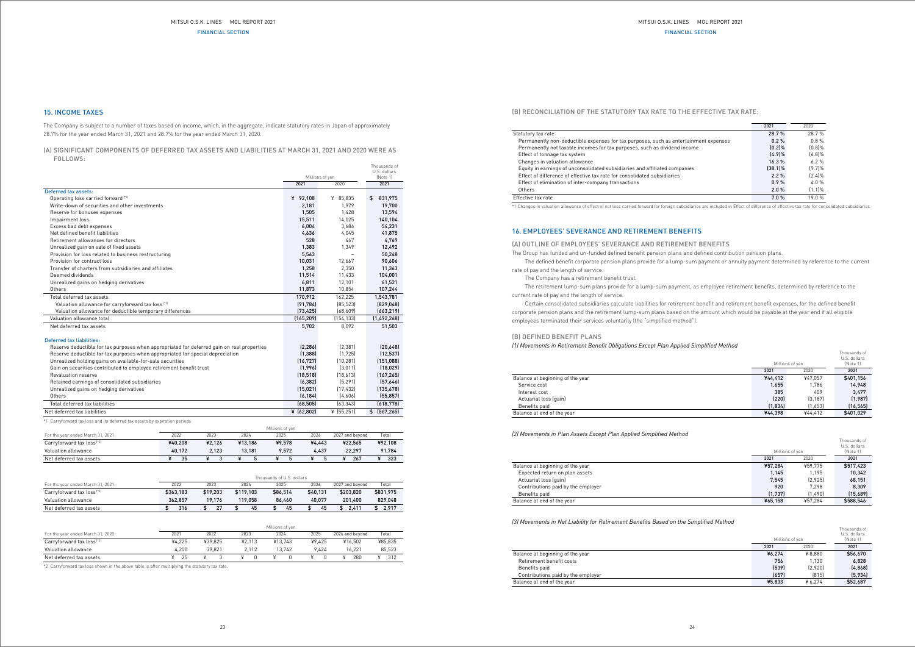# 15. INCOME TAXES

The Company is subject to a number of taxes based on income, which, in the aggregate, indicate statutory rates in Japan of approximately 28.7% for the year ended March 31, 2021 and 28.7% for the year ended March 31, 2020.

(A) SIGNIFICANT COMPONENTS OF DEFERRED TAX ASSETS AND LIABILITIES AT MARCH 31, 2021 AND 2020 WERE AS FOLLOWS: Thousands of

|                                                                                            |                 |               | Thousands of<br>U.S. dollars |
|--------------------------------------------------------------------------------------------|-----------------|---------------|------------------------------|
|                                                                                            | Millions of yen |               | [Note 1]                     |
|                                                                                            | 2021            | 2020          | 2021                         |
| Deferred tax assets:                                                                       |                 |               |                              |
| Operating loss carried forward <sup>[*1]</sup>                                             | ¥ 92,108        | ¥ 85,835      | 831,975<br>\$                |
| Write-down of securities and other investments                                             | 2,181           | 1,979         | 19,700                       |
| Reserve for bonuses expenses                                                               | 1,505           | 1,428         | 13,594                       |
| Impairment loss                                                                            | 15,511          | 14,025        | 140,104                      |
| Excess bad debt expenses                                                                   | 6,004           | 3,686         | 54,231                       |
| Net defined benefit liabilities                                                            | 4,636           | 4,045         | 41,875                       |
| Retirement allowances for directors                                                        | 528             | 467           | 4,769                        |
| Unrealized gain on sale of fixed assets                                                    | 1,383           | 1,349         | 12,492                       |
| Provision for loss related to business restructuring                                       | 5,563           |               | 50,248                       |
| Provision for contract loss                                                                | 10,031          | 12,667        | 90,606                       |
| Transfer of charters from subsidiaries and affiliates                                      | 1,258           | 2,350         | 11,363                       |
| Deemed dividends                                                                           | 11,514          | 11,433        | 104,001                      |
| Unrealized gains on hedging derivatives                                                    | 6,811           | 12,101        | 61,521                       |
| Others                                                                                     | 11,873          | 10,854        | 107,244                      |
| Total deferred tax assets                                                                  | 170,912         | 162,225       | 1,543,781                    |
| Valuation allowance for carryforward tax loss [*1]                                         | (91, 784)       | (85, 523)     | (829, 048)                   |
| Valuation allowance for deductible temporary differences                                   | (73, 425)       | (68, 609)     | (663, 219)                   |
| Valuation allowance total                                                                  | (165, 209)      | (154, 133)    | (1,492,268)                  |
| Net deferred tax assets                                                                    | 5,702           | 8.092         | 51,503                       |
| Deferred tax liabilities:                                                                  |                 |               |                              |
| Reserve deductible for tax purposes when appropriated for deferred gain on real properties | (2, 286)        | (2, 381)      | (20,648)                     |
| Reserve deductible for tax purposes when appropriated for special depreciation             | (1.388)         | (1.725)       | (12, 537)                    |
| Unrealized holding gains on available-for-sale securities                                  | (16, 727)       | (10, 281)     | (151,088)                    |
| Gain on securities contributed to employee retirement benefit trust                        | (1,996)         | (3,011)       | (18, 029)                    |
| Revaluation reserve                                                                        | (18, 518)       | (18,613)      | (167, 265)                   |
| Retained earnings of consolidated subsidiaries                                             | (6, 382)        | (5, 291)      | (57,646)                     |
| Unrealized gains on hedging derivatives                                                    | (15, 021)       | (17, 432)     | (135,678)                    |
| Others                                                                                     | (6, 184)        | [4,606]       | (55, 857)                    |
| Total deferred tax liabilities                                                             | (68, 505)       | (63, 343)     | (618, 778)                   |
| Net deferred tax liabilities                                                               | ¥ $(62, 802)$   | ¥ $(55, 251)$ | \$ [567, 265]                |

\*1 Carryforward tax loss and its deferred tax assets by expiration periods

|                                       |         |        |       |         |        | Millions of yen |       |        |       |                 |         |         |
|---------------------------------------|---------|--------|-------|---------|--------|-----------------|-------|--------|-------|-----------------|---------|---------|
| For the year ended March 31, 2021:    | 2022    | 2023   |       | 2024    |        | 2025            |       | 2026   |       | 2027 and beyond |         | Total   |
| Carryforward tax loss <sup>[*2]</sup> | ¥40.208 | ¥2.126 |       | ¥13.186 |        | ¥9.578          |       | ¥4.443 |       |                 | ¥22.565 | ¥92,108 |
| Valuation allowance                   | 40.172  |        | 2.123 |         | 13.181 |                 | 9.572 |        | 4.437 |                 | 22.297  | 91,784  |
| Net deferred tax assets               | 35      |        |       |         |        |                 |       |        |       |                 | 267     | 323     |

|                                       |           |          |           | Thousands of U.S. dollars |          |                 |           |
|---------------------------------------|-----------|----------|-----------|---------------------------|----------|-----------------|-----------|
| For the year ended March 31, 2021:    | 2022      | 2023     | 2024      | 2025                      | 2026     | 2027 and beyond | Total     |
| Carryforward tax loss <sup>[*2]</sup> | \$363.183 | \$19,203 | \$119.103 | \$86.514                  | \$40.131 | \$203.820       | \$831.975 |
| Valuation allowance                   | 362.857   | 19.176   | 119.058   | 86.460                    | 40.077   | 201.400         | 829.048   |
| Net deferred tax assets               | 316       | 27       | 45        | 45                        | 45       | 2.411           | 2.917     |

|                                    |        |         |        | Millions of ven |        |                 |         |
|------------------------------------|--------|---------|--------|-----------------|--------|-----------------|---------|
| For the year ended March 31, 2020: | 2021   | 2022    | 2023   | 2024            | 2025   | 2026 and bevond | Total   |
| Carryforward tax loss [*2]         | ¥4.225 | ¥39.825 | ¥2.113 | ¥13.743         | ¥9.425 | ¥16.502         | ¥85,835 |
| Valuation allowance                | 4.200  | 39.821  | 2.112  | 13.742          | 9.424  | 16.221          | 85,523  |
| Net deferred tax assets            | 25     |         |        |                 |        | 280             | 312     |

\*2 Carryforward tax loss shown in the above table is after multiplying the statutory tax rate.

# (B) RECONCILIATION OF THE STATUTORY TAX RATE TO THE EFFECTIVE TAX RATE:

|                                                                                      | 2021       | 2020      |
|--------------------------------------------------------------------------------------|------------|-----------|
| Statutory tax rate                                                                   | 28.7 %     | 28.7%     |
| Permanently non-deductible expenses for tax purposes, such as entertainment expenses | $0.2 \%$   | 0.8%      |
| Permanently not taxable incomes for tax purposes, such as dividend income            | [0.2]%     | [0.8]%    |
| Effect of tonnage tax system                                                         | $(4.9\%$   | (6.8)%    |
| Changes in valuation allowance                                                       | 16.3%      | 6.2%      |
| Equity in earnings of unconsolidated subsidiaries and affiliated companies           | $(38.1)\%$ | (9.7)%    |
| Effect of difference of effective tax rate for consolidated subsidiaries             | $2.2 \%$   | (2.4)%    |
| Effect of elimination of inter-company transactions                                  | 0.9%       | 4.0%      |
| Others                                                                               | $2.0 \%$   | $(1.1)\%$ |
| Effective tax rate                                                                   | 7.0%       | 19.0%     |

\*1 Changes in valuation allowance of effect of net loss carried forward for foreign subsidiaries are included in Effect of difference of effective tax rate for consolidated subsidiaries.

# 16. EMPLOYEES' SEVERANCE AND RETIREMENT BENEFITS

(A) OUTLINE OF EMPLOYEES' SEVERANCE AND RETIREMENT BENEFITS

The Group has funded and un-funded defined benefit pension plans and defined contribution pension plans. The defined benefit corporate pension plans provide for a lump-sum payment or annuity payment determined by reference to the current rate of pay and the length of service.

The Company has a retirement benefit trust.

The retirement lump-sum plans provide for a lump-sum payment, as employee retirement benefits, determined by reference to the current rate of pay and the length of service.

Certain consolidated subsidiaries calculate liabilities for retirement benefit and retirement benefit expenses, for the defined benefit corporate pension plans and the retirement lump-sum plans based on the amount which would be payable at the year end if all eligible employees terminated their services voluntarily (the "simplified method").

#### (B) DEFINED BENEFIT PLANS

*(1) Movements in Retirement Benefit Obligations Except Plan Applied Simplified Method*

|                                  |         | Millions of ven | Thousands of<br>U.S. dollars<br>(Note 1) |
|----------------------------------|---------|-----------------|------------------------------------------|
|                                  | 2021    | 2020            | 2021                                     |
| Balance at beginning of the year | ¥44.412 | ¥47.057         | \$401,156                                |
| Service cost                     | 1,655   | 1,786           | 14,948                                   |
| Interest cost                    | 385     | 409             | 3,477                                    |
| Actuarial loss (gain)            | (220)   | (3, 187)        | (1,987)                                  |
| Benefits paid                    | (1,834) | (1,653)         | (16, 565)                                |
| Balance at end of the year       | ¥44,398 | ¥44.412         | \$401,029                                |

*(2) Movements in Plan Assets Except Plan Applied Simplified Method*

|                                    |         | Millions of yen | Thousands of<br>U.S. dollars<br>(Note 1) |
|------------------------------------|---------|-----------------|------------------------------------------|
|                                    | 2021    | 2020            | 2021                                     |
| Balance at beginning of the year   | ¥57.284 | ¥59.775         | \$517,423                                |
| Expected return on plan assets     | 1.145   | 1.195           | 10,342                                   |
| Actuarial loss (gain)              | 7.545   | [2.925]         | 68,151                                   |
| Contributions paid by the employer | 920     | 7.298           | 8.309                                    |
| Benefits paid                      | (1,737) | (1.490)         | (15,689)                                 |
| Balance at end of the year         | ¥65.158 | ¥57.284         | \$588,546                                |

*(3) Movements in Net Liability for Retirement Benefits Based on the Simplified Method*

|                                    | Millions of ven | Thousands of<br>U.S. dollars<br>(Note 1) |          |
|------------------------------------|-----------------|------------------------------------------|----------|
|                                    | 2021            | 2020                                     | 2021     |
| Balance at beginning of the year   | ¥6.274          | ¥8.880                                   | \$56,670 |
| Retirement benefit costs           | 756             | 1.130                                    | 6,828    |
| Benefits paid                      | (539)           | [2.920]                                  | (4, 868) |
| Contributions paid by the employer | (657)           | [815]                                    | (5,934)  |
| Balance at end of the year         | ¥5.833          | ¥ 6.274                                  | \$52,687 |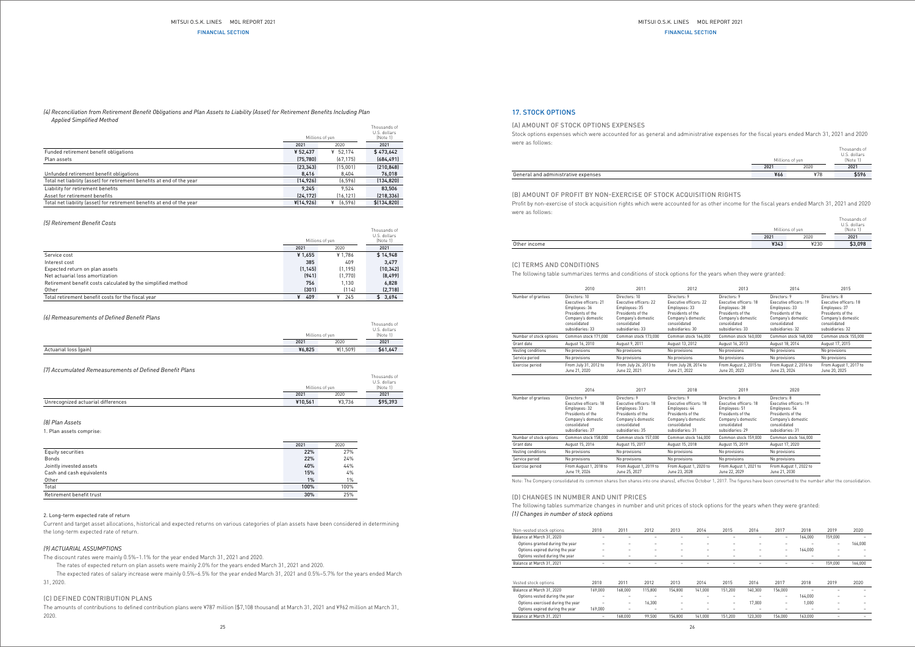# *(4) Reconciliation from Retirement Benefit Obligations and Plan Assets to Liability (Asset) for Retirement Benefits Including Plan Applied Simplified Method*

|                                                                        |                 |               | Thousands of<br>U.S. dollars |
|------------------------------------------------------------------------|-----------------|---------------|------------------------------|
|                                                                        | Millions of yen |               | (Note 1)                     |
|                                                                        | 2021            | 2020          | 2021                         |
| Funded retirement benefit obligations                                  | ¥ 52.437        | ¥ 52.174      | \$473,642                    |
| Plan assets                                                            | (75.780)        | [67.175]      | (684, 491)                   |
|                                                                        | (23, 343)       | (15.001)      | [210.848]                    |
| Unfunded retirement benefit obligations                                | 8.416           | 8.404         | 76,018                       |
| Total net liability (asset) for retirement benefits at end of the year | (14, 926)       | (6, 596)      | (134, 820)                   |
| Liability for retirement benefits                                      | 9.245           | 9.524         | 83.506                       |
| Asset for retirement benefits                                          | (24, 172)       | [16.121]      | (218, 336)                   |
| Total net liability (asset) for retirement benefits at end of the year | ¥[14,926]       | (6, 596)<br>¥ | \$134,820]                   |

### *(5) Retirement Benefit Costs*

|                                                              | Millions of yen | Thousands of<br>U.S. dollars<br>(Note 1) |           |
|--------------------------------------------------------------|-----------------|------------------------------------------|-----------|
|                                                              | 2021            | 2020                                     | 2021      |
| Service cost                                                 | ¥1,655          | ¥1.786                                   | \$14,948  |
| Interest cost                                                | 385             | 409                                      | 3.477     |
| Expected return on plan assets                               | (1.145)         | (1.195)                                  | (10, 342) |
| Net actuarial loss amortization                              | (941)           | (1.770)                                  | [8, 499]  |
| Retirement benefit costs calculated by the simplified method | 756             | 1.130                                    | 6,828     |
| Other                                                        | (301)           | (114)                                    | (2,718)   |
| Total retirement benefit costs for the fiscal year           | 409<br>¥        | 245<br>¥                                 | \$3,694   |

# *(6) Remeasurements of Defined Benefit Plans*

|                       |        |                 | Thousands of<br>U.S. dollars |
|-----------------------|--------|-----------------|------------------------------|
|                       |        | Millions of ven | (Note 1)                     |
|                       | 2021   | 2020            | 2021                         |
| Actuarial loss (gain) | ¥6.825 | ¥[1,509]        | \$61,647                     |

# *(7) Accumulated Remeasurements of Defined Benefit Plans*

|                                    |                 |          | Thousands of<br>U.S. dollars |
|------------------------------------|-----------------|----------|------------------------------|
|                                    | Millions of ven | [Note 1] |                              |
|                                    | 2021            | 2020     | 2021                         |
| Unrecognized actuarial differences | ¥10,561         | ¥3.736   | \$95,393                     |

# *(8) Plan Assets*

1. Plan assets comprise:

|                           | 2021  | 2020 |
|---------------------------|-------|------|
| Equity securities         | 22%   | 27%  |
| <b>Bonds</b>              | 22%   | 24%  |
| Jointly invested assets   | 40%   | 44%  |
| Cash and cash equivalents | 15%   | 4%   |
| Other                     | $1\%$ | 1%   |
| Total                     | 100%  | 100% |
| Retirement benefit trust  | 30%   | 25%  |

# 2. Long-term expected rate of return

Current and target asset allocations, historical and expected returns on various categories of plan assets have been considered in determining the long-term expected rate of return.

# *(9) ACTUARIAL ASSUMPTIONS*

The discount rates were mainly 0.5%~1.1% for the year ended March 31, 2021 and 2020.

The rates of expected return on plan assets were mainly 2.0% for the years ended March 31, 2021 and 2020.

The expected rates of salary increase were mainly 0.5%~6.5% for the year ended March 31, 2021 and 0.5%~5.7% for the years ended March 31, 2020.

# (C) DEFINED CONTRIBUTION PLANS

The amounts of contributions to defined contribution plans were ¥787 million (\$7,108 thousand) at March 31, 2021 and ¥962 million at March 31, 2020.

# 17. STOCK OPTIONS

### (A) AMOUNT OF STOCK OPTIONS EXPENSES Stock options expenses which were accounted for as general and administrative expenses for the fiscal years ended March 31, 2021 and 2020 were as follows:

# $\overline{6}$  General and administrative expenses

| 2021 | Millions of yen<br>2020 | U.S. dollars<br>(Note 1)<br>2021 |
|------|-------------------------|----------------------------------|
|      |                         |                                  |
| ¥66  | ¥78                     | \$596                            |

(B) AMOUNT OF PROFIT BY NON-EXERCISE OF STOCK ACQUISITION RIGHTS Profit by non-exercise of stock acquisition rights which were accounted for as other income for the fiscal years ended March 31, 2021 and 2020 were as follows:

|              |      | Millions of yen |         |  |
|--------------|------|-----------------|---------|--|
|              | 2021 | 2020            | 2021    |  |
| Other income | ¥343 | ¥230            | \$3,098 |  |

### (C) TERMS AND CONDITIONS

The following table summarizes terms and conditions of stock options for the years when they were granted:

|                         | 2010                                                                                                                                    | 2011                                                                                                                                    | 2012                                                                                                                                   | 2013                                    | 2014                                                                                                                                   | 2015                                                                                                                                   |
|-------------------------|-----------------------------------------------------------------------------------------------------------------------------------------|-----------------------------------------------------------------------------------------------------------------------------------------|----------------------------------------------------------------------------------------------------------------------------------------|-----------------------------------------|----------------------------------------------------------------------------------------------------------------------------------------|----------------------------------------------------------------------------------------------------------------------------------------|
| Number of grantees      | Directors: 10<br>Executive officers: 21<br>Employees: 36<br>Presidents of the<br>Company's domestic<br>consolidated<br>subsidiaries: 33 | Directors: 10<br>Executive officers: 22<br>Employees: 35<br>Presidents of the<br>Company's domestic<br>consolidated<br>subsidiaries: 33 | Directors: 9<br>Executive officers: 22<br>Employees: 33<br>Presidents of the<br>Company's domestic<br>consolidated<br>subsidiaries: 30 |                                         | Directors: 9<br>Executive officers: 19<br>Employees: 33<br>Presidents of the<br>Company's domestic<br>consolidated<br>subsidiaries: 32 | Directors: 8<br>Executive officers: 18<br>Employees: 37<br>Presidents of the<br>Company's domestic<br>consolidated<br>subsidiaries: 32 |
| Number of stock options | Common stock 171,000                                                                                                                    | Common stock 173,000                                                                                                                    | Common stock 164,000                                                                                                                   | Common stock 160,000                    | Common stock 148,000                                                                                                                   | Common stock 155,000                                                                                                                   |
| Grant date              | August 16, 2010                                                                                                                         | August 9, 2011                                                                                                                          | August 13, 2012                                                                                                                        | August 16, 2013                         | August 18, 2014                                                                                                                        | August 17, 2015                                                                                                                        |
| Vesting conditions      | No provisions                                                                                                                           | No provisions                                                                                                                           | No provisions                                                                                                                          | No provisions                           | No provisions                                                                                                                          | No provisions                                                                                                                          |
| Service period          | No provisions                                                                                                                           | No provisions                                                                                                                           | No provisions                                                                                                                          | No provisions                           | No provisions                                                                                                                          | No provisions                                                                                                                          |
| Exercise period         | From July 31, 2012 to<br>June 21, 2020                                                                                                  | From July 26, 2013 to<br>June 22, 2021                                                                                                  | From July 28, 2014 to<br>June 21, 2022                                                                                                 | From August 2, 2015 to<br>June 20, 2023 | From August 2, 2016 to<br>June 23, 2024                                                                                                | From August 1, 2017 to<br>June 20, 2025                                                                                                |

|                         | 2016                                                                                                                                   | 2017                                                                                                                                   | 2018                                    | 2019                                                                                                                                   | 2020                                                                                                                                   |
|-------------------------|----------------------------------------------------------------------------------------------------------------------------------------|----------------------------------------------------------------------------------------------------------------------------------------|-----------------------------------------|----------------------------------------------------------------------------------------------------------------------------------------|----------------------------------------------------------------------------------------------------------------------------------------|
| Number of grantees      | Directors: 9<br>Executive officers: 18<br>Employees: 32<br>Presidents of the<br>Company's domestic<br>consolidated<br>subsidiaries: 37 | Directors: 9<br>Executive officers: 18<br>Employees: 33<br>Presidents of the<br>Company's domestic<br>consolidated<br>subsidiaries: 35 |                                         | Directors: 8<br>Executive officers: 18<br>Employees: 51<br>Presidents of the<br>Company's domestic<br>consolidated<br>subsidiaries: 29 | Directors: 8<br>Executive officers: 19<br>Employees: 54<br>Presidents of the<br>Company's domestic<br>consolidated<br>subsidiaries: 31 |
| Number of stock options | Common stock 158,000                                                                                                                   | Common stock 157,000                                                                                                                   | Common stock 164,000                    | Common stock 159,000                                                                                                                   | Common stock 166,000                                                                                                                   |
| Grant date              | August 15, 2016                                                                                                                        | August 15, 2017                                                                                                                        | August 15, 2018                         | August 15, 2019                                                                                                                        | August 17, 2020                                                                                                                        |
| Vesting conditions      | No provisions                                                                                                                          | No provisions                                                                                                                          | No provisions                           | No provisions                                                                                                                          | No provisions                                                                                                                          |
| Service period          | No provisions                                                                                                                          | No provisions                                                                                                                          | No provisions                           | No provisions                                                                                                                          | No provisions                                                                                                                          |
| Exercise period         | From August 1, 2018 to<br>June 19, 2026                                                                                                | From August 1, 2019 to<br>June 25, 2027                                                                                                | From August 1, 2020 to<br>June 23, 2028 | From August 1, 2021 to<br>June 22, 2029                                                                                                | From August 1, 2022 to<br>June 21, 2030                                                                                                |

Note: The Company consolidated its common shares (ten shares into one shares), effective October 1, 2017. The figures have been converted to the number after the consolidation.

# (D) CHANGES IN NUMBER AND UNIT PRICES

The following tables summarize changes in number and unit prices of stock options for the years when they were granted: *(1) Changes in number of stock options*

| Non-vested stock options          | 2010                     | 2011                     | 2012    | 2013    | 2014                     | 2015    | 2016    | 2017                     | 2018                     | 2019                     | 2020                     |
|-----------------------------------|--------------------------|--------------------------|---------|---------|--------------------------|---------|---------|--------------------------|--------------------------|--------------------------|--------------------------|
| Balance at March 31, 2020         | ۰                        |                          |         |         |                          |         |         | -                        | 164,000                  | 159,000                  |                          |
| Options granted during the year   | -                        | $\overline{\phantom{0}}$ | -       | ۰       | $\overline{\phantom{m}}$ | -       | -       | -                        | -                        | $\overline{\phantom{0}}$ | 166,000                  |
| Options expired during the year   |                          | $\overline{\phantom{0}}$ | -       | -       | $\overline{\phantom{0}}$ | -       | -       | -                        | 164,000                  | -                        | $\overline{\phantom{0}}$ |
| Options vested during the year    |                          |                          |         |         |                          |         |         |                          |                          |                          |                          |
| Balance at March 31, 2021         |                          |                          |         |         |                          |         |         |                          | $\overline{\phantom{0}}$ | 159,000                  | 166,000                  |
|                                   |                          |                          |         |         |                          |         |         |                          |                          |                          |                          |
| Vested stock options              | 2010                     | 2011                     | 2012    | 2013    | 2014                     | 2015    | 2016    | 2017                     | 2018                     | 2019                     | 2020                     |
| Balance at March 31, 2020         | 169,000                  | 168,000                  | 115,800 | 154,800 | 141,000                  | 151,200 | 140,300 | 156,000                  | ۰                        |                          |                          |
| Options vested during the year    | ۰                        | -                        | -       |         |                          | -       | -       | $\overline{\phantom{0}}$ | 164,000                  |                          |                          |
| Options exercised during the year | -                        | -                        | 16,300  | -       | $\overline{\phantom{a}}$ | -       | 17,000  | -                        | 1,000                    | -                        | $\overline{\phantom{0}}$ |
| Options expired during the year   | 169,000                  | -                        |         |         |                          |         |         |                          |                          |                          |                          |
| Balance at March 31, 2021         | $\overline{\phantom{a}}$ | 168,000                  | 99.500  | 154.800 | 141.000                  | 151.200 | 123,300 | 156,000                  | 163,000                  |                          |                          |
|                                   |                          |                          |         |         |                          |         |         |                          |                          |                          |                          |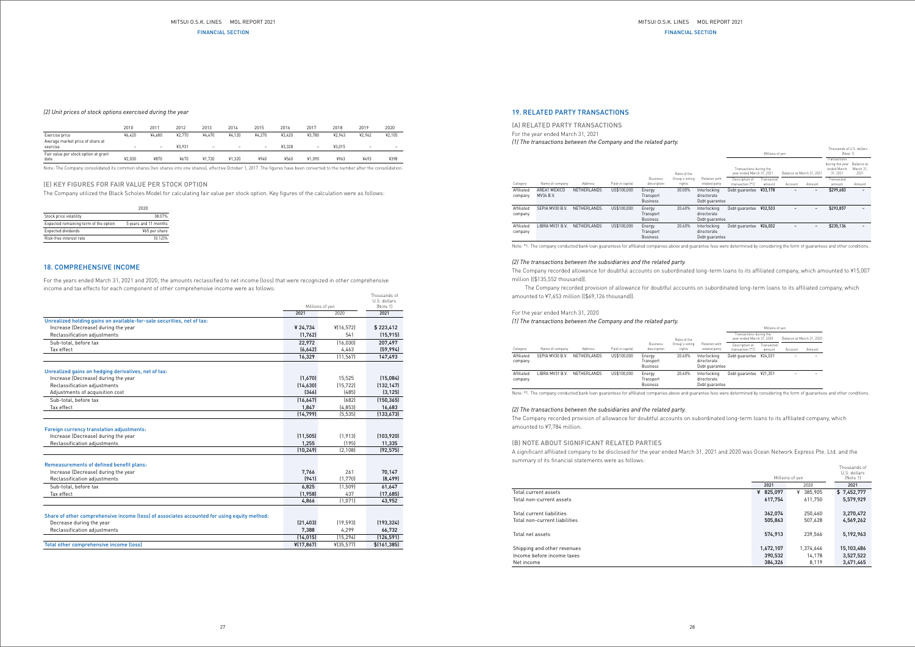# *(2) Unit prices of stock options exercised during the year*

|                                              | 2010   | 2011                     | 2012   | 2013                     | 2014   | 2015                     | 2016   | 2017                     | 2018   | 2019   | 2020                     |
|----------------------------------------------|--------|--------------------------|--------|--------------------------|--------|--------------------------|--------|--------------------------|--------|--------|--------------------------|
| Exercise price                               | ¥6.420 | ¥4.680                   | ¥2.770 | ¥4.470                   | ¥4.120 | ¥4.270                   | ¥2.420 | ¥3.780                   | ¥2.943 | ¥2.962 | ¥2,105                   |
| Average market price of share at<br>exercise | $-$    | $\overline{\phantom{a}}$ | ¥3.931 | $\overline{\phantom{a}}$ | -      | $\overline{\phantom{a}}$ | ¥3.328 | $\overline{\phantom{0}}$ | ¥3.015 | -      | $\overline{\phantom{0}}$ |
| Fair value per stock option at grant<br>date | ¥2.030 | ¥870                     | ¥670   | ¥1.720                   | ¥1.320 | ¥940                     | ¥560   | ¥1.090                   | ¥963   | ¥493   | ¥398                     |

Note: The Company consolidated its common shares (ten shares into one shares), effective October 1, 2017. The figures have been converted to the number after the consolidation.

# (E) KEY FIGURES FOR FAIR VALUE PER STOCK OPTION

The Company utilized the Black Scholes Model for calculating fair value per stock option. Key figures of the calculation were as follows:

|                                       | 2020                  |
|---------------------------------------|-----------------------|
| Stock price volatility                | 38.07%                |
| Expected remaining term of the option | 5 years and 11 months |
| Expected dividends                    | ¥65 per share         |
| Risk-free interest rate               | [0.12]%               |

# 18. COMPREHENSIVE INCOME

For the years ended March 31, 2021 and 2020, the amounts reclassified to net income (loss) that were recognized in other comprehensive income and tax effects for each component of other comprehensive income were as follows:

| medine and tax enects for each component or other comprenensive income were as fottows.     |                    |                | Thousands of             |  |
|---------------------------------------------------------------------------------------------|--------------------|----------------|--------------------------|--|
|                                                                                             | Millions of yen    |                | U.S. dollars<br>[Note 1] |  |
|                                                                                             | 2021               | 2020           | 2021                     |  |
| Unrealized holding gains on available-for-sale securities, net of tax:                      |                    |                |                          |  |
| Increase (Decrease) during the year                                                         | ¥ 24,734           | ¥[16,572]      | \$223,412                |  |
| Reclassification adjustments                                                                | (1,762)            | 541            | (15, 915)                |  |
| Sub-total, before tax                                                                       | 22,972             | (16,030)       | 207,497                  |  |
| Tax effect                                                                                  | (6,642)            | 4,463          | (59, 994)                |  |
|                                                                                             | 16,329             | (11, 567)      | 147,493                  |  |
| Unrealized gains on hedging derivatives, net of tax:                                        |                    |                |                          |  |
| Increase (Decrease) during the year                                                         | (1,670)            | 15,525         | (15,084)                 |  |
| Reclassification adjustments                                                                | (14, 630)          | (15.722)       | (132, 147)               |  |
| Adjustments of acquisition cost                                                             | [346]              | [485]          | (3, 125)                 |  |
|                                                                                             |                    | [682]          |                          |  |
| Sub-total, before tax<br>Tax effect                                                         | (16, 647)<br>1,847 | [4, 853]       | (150, 365)<br>16,683     |  |
|                                                                                             |                    |                |                          |  |
|                                                                                             | (14, 799)          | (5, 535)       | (133, 673)               |  |
| Foreign currency translation adjustments:                                                   |                    |                |                          |  |
| Increase (Decrease) during the year                                                         | (11, 505)          | [1.913]        | (103, 920)               |  |
| Reclassification adjustments                                                                | 1.255              | [195]          | 11.335                   |  |
|                                                                                             | (10, 249)          | (2, 108)       | (92, 575)                |  |
|                                                                                             |                    |                |                          |  |
| Remeasurements of defined benefit plans:                                                    |                    |                |                          |  |
| Increase (Decrease) during the year                                                         | 7,766              | 261            | 70,147                   |  |
| Reclassification adjustments                                                                | (941)              | (1,770)        | (8, 499)                 |  |
| Sub-total, before tax                                                                       | 6,825              | (1,509)        | 61,647                   |  |
| Tax effect                                                                                  | (1,958)            | 437            | (17,685)                 |  |
|                                                                                             | 4,866              | (1,071)        | 43,952                   |  |
|                                                                                             |                    |                |                          |  |
| Share of other comprehensive income (loss) of associates accounted for using equity method: |                    |                |                          |  |
| Decrease during the year                                                                    | (21, 403)          | (19, 593)      | (193, 324)               |  |
| Reclassification adjustments                                                                | 7,388              | 4,299          | 66,732                   |  |
|                                                                                             | (14, 015)          | (15, 294)      | (126, 591)               |  |
| Total other comprehensive income (loss)                                                     | ¥[17,867]          | $¥$ $(35,577)$ | \$(161, 385)             |  |

# 19. RELATED PARTY TRANSACTIONS

(A) RELATED PARTY TRANSACTIONS For the year ended March 31, 2021 *(1) The transactions between the Company and the related party.*

|                       |                           |             |                 |                                        |                          |                                               |                                                      | Millions of yen      |                           |                          | Thousands of U.S. dollars<br>[Note 1]                     |                                 |
|-----------------------|---------------------------|-------------|-----------------|----------------------------------------|--------------------------|-----------------------------------------------|------------------------------------------------------|----------------------|---------------------------|--------------------------|-----------------------------------------------------------|---------------------------------|
|                       |                           |             |                 |                                        | Ratio of the             |                                               | Transactions during the<br>year ended March 31, 2021 |                      | Balance at March 31, 2021 |                          | Transactions<br>during the year<br>ended March<br>31.2021 | Balance at<br>March 31.<br>2021 |
| Category              | Name of company           | Address     | Paid-in capital | <b>Business</b><br>description         | Group's voting<br>rights | Relation with<br>related party                | Description of<br>transaction [*1]                   | Transacted<br>amount | Account                   | Amount                   | Transacted<br>amount                                      | Amount                          |
| Affiliated<br>company | AREA1 MEXICO<br>MV34 B.V. | NETHERLANDS | US\$100,000     | Energy<br>Transport<br><b>Business</b> | 30.00%                   | Interlocking<br>directorate<br>Debt quarantee | Debt quarantee                                       | ¥33,178              |                           | $\overline{\phantom{0}}$ | \$299,683                                                 |                                 |
| Affiliated<br>company | SEPIA MV30 B.V.           | NETHERLANDS | US\$100,000     | Energy<br>Transport<br><b>Business</b> | 20.60%                   | Interlocking<br>directorate<br>Debt quarantee | Debt quarantee                                       | ¥32.533              |                           | $\overline{\phantom{0}}$ | \$293,857                                                 |                                 |
| Affiliated<br>company | LIBRA MV31 B.V.           | NETHERLANDS | US\$100,000     | Energy<br>Transport<br><b>Business</b> | 20.60%                   | Interlocking<br>directorate<br>Debt quarantee | Debt quarantee                                       | ¥26.032              |                           |                          | \$235,136                                                 |                                 |

Note: \*1. The company conducted bank loan guarantees for affiliated companies above and guarantee fees were determined by considering the form of guarantees and other conditions.

### *(2) The transactions between the subsidiaries and the related party.*

The Company recorded allowance for doubtful accounts on subordinated long-term loans to its affiliated company, which amounted to ¥15,007 million ((\$135,552 thousand)).

The Company recorded provision of allowance for doubtful accounts on subordinated long-term loans to its affiliated company, which amounted to ¥7,653 million ((\$69,126 thousand)).

#### For the year ended March 31, 2020

*(1) The transactions between the Company and the related party.*

|                       |                 |                    |                 |                                        |                          |                                               |                                                      | Millions of ven      |         |                           |
|-----------------------|-----------------|--------------------|-----------------|----------------------------------------|--------------------------|-----------------------------------------------|------------------------------------------------------|----------------------|---------|---------------------------|
|                       |                 |                    |                 |                                        | Ratio of the             |                                               | Transactions during the<br>year ended March 31, 2020 |                      |         | Balance at March 31, 2020 |
| Category              | Name of company | Address            | Paid-in capital | <b>Business</b><br>description         | Group's voting<br>rights | Relation with<br>related party                | Description of<br>transaction [*1]                   | Transacted<br>amount | Account | Amount                    |
| Affiliated<br>company | SEPIA MV30 B.V. | NETHERLANDS        | US\$100.000     | Energy<br>Transport<br><b>Business</b> | 20.60%                   | Interlocking<br>directorate<br>Debt quarantee | Debt quarantee                                       | ¥24.031              |         |                           |
| Affiliated<br>company | LIBRA MV31 B.V. | <b>NETHERLANDS</b> | US\$100.000     | Energy<br>Transport<br><b>Business</b> | 20.60%                   | Interlocking<br>directorate<br>Debt quarantee | Debt quarantee ¥21,351                               |                      |         |                           |

Note: \*1. The company conducted bank loan guarantees for affiliated companies above and guarantee fees were determined by considering the form of guarantees and other conditions.

#### *(2) The transactions between the subsidiaries and the related party.*

The Company recorded provision of allowance for doubtful accounts on subordinated long-term loans to its affiliated company, which amounted to ¥7,784 million.

(B) NOTE ABOUT SIGNIFICANT RELATED PARTIES A significant affiliated company to be disclosed for the year ended March 31, 2021 and 2020 was Ocean Network Express Pte. Ltd. and the summary of its financial statements were as follows:

|                               |           | Millions of yen | Thousands of<br>U.S. dollars<br>(Note 1) |  |
|-------------------------------|-----------|-----------------|------------------------------------------|--|
|                               | 2021      | 2020            | 2021                                     |  |
| Total current assets          | ¥ 825.097 | 385.905<br>¥    | \$7,452,777                              |  |
| Total non-current assets      | 617,754   | 611.750         | 5,579,929                                |  |
| Total current liabilities     | 362,074   | 250,460         | 3,270,472                                |  |
| Total non-current liabilities | 505,863   | 507.628         | 4,569,262                                |  |
| Total net assets              | 574.913   | 239.566         | 5,192,963                                |  |
| Shipping and other revenues   | 1,672,107 | 1.374.646       | 15,103,486                               |  |
| Income before income taxes    | 390,532   | 14.178          | 3,527,522                                |  |
| Net income                    | 384,326   | 8,119           | 3,471,465                                |  |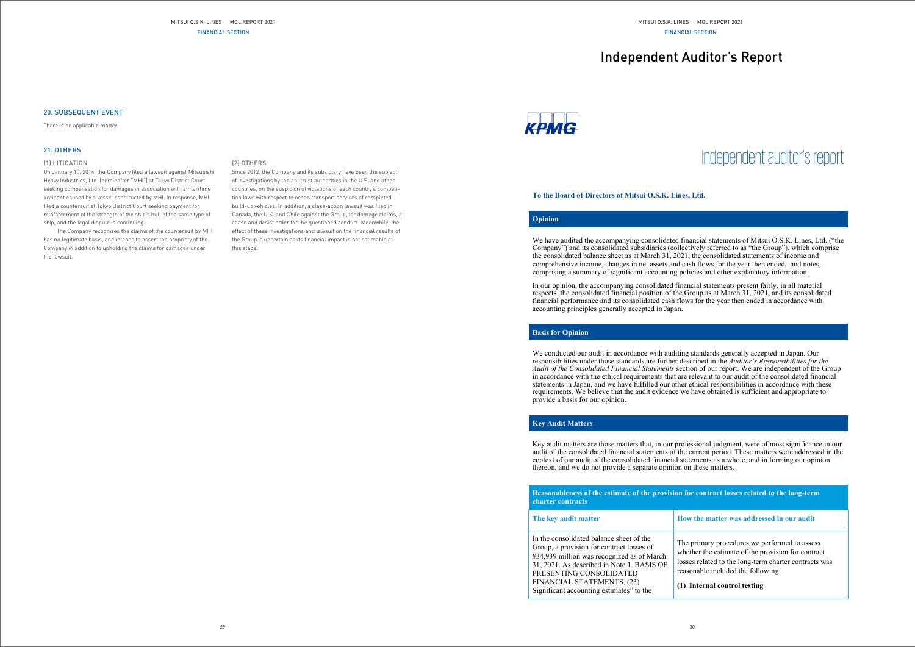# 20. SUBSEQUENT EVENT

There is no applicable matter.

# 21. OTHERS

# (1) LITIGATION

On January 10, 2014, the Company filed a lawsuit against Mitsubishi Heavy Industries, Ltd. (hereinafter "MHI") at Tokyo District Court seeking compensation for damages in association with a maritime accident caused by a vessel constructed by MHI. In response, MHI filed a countersuit at Tokyo District Court seeking payment for reinforcement of the strength of the ship's hull of the same type of ship, and the legal dispute is continuing.

The Company recognizes the claims of the countersuit by MHI has no legitimate basis, and intends to assert the propriety of the Company in addition to upholding the claims for damages under the lawsuit.

#### (2) OTHERS

Since 2012, the Company and its subsidiary have been the subject of investigations by the antitrust authorities in the U.S. and other countries, on the suspicion of violations of each country's competition laws with respect to ocean transport services of completed build-up vehicles. In addition, a class-action lawsuit was filed in Canada, the U.K. and Chile against the Group, for damage claims, a cease and desist order for the questioned conduct. Meanwhile, the effect of these investigations and lawsuit on the financial results of the Group is uncertain as its financial impact is not estimable at this stage.



# Independent Auditor's Report

# Independent auditor's report

of the estimate of the provision for contract losses related to the long-term

**the matter was addressed in our audit** 

primary procedures we performed to assess her the estimate of the provision for contract s related to the long-term charter contracts was mable included the following:

# **To the Board of Directors of Mitsui O.S.K. Lines, Ltd.**

# **Opinion**

We have audited the accompanying consolidated financial statements of Mitsui O.S.K. Lines, Ltd. ("the Company") and its consolidated subsidiaries (collectively referred to as "the Group"), which comprise the consolidated balance sheet as at March 31, 2021, the consolidated statements of income and comprehensive income, changes in net assets and cash flows for the year then ended, and notes, comprising a summary of significant accounting policies and other explanatory information.

In our opinion, the accompanying consolidated financial statements present fairly, in all material respects, the consolidated financial position of the Group as at March 31, 2021, and its consolidated financial performance and its consolidated cash flows for the year then ended in accordance with accounting principles generally accepted in Japan.

# **Basis for Opinion**

We conducted our audit in accordance with auditing standards generally accepted in Japan. Our responsibilities under those standards are further described in the *Auditor's Responsibilities for the Audit of the Consolidated Financial Statements* section of our report. We are independent of the Group in accordance with the ethical requirements that are relevant to our audit of the consolidated financial statements in Japan, and we have fulfilled our other ethical responsibilities in accordance with these requirements. We believe that the audit evidence we have obtained is sufficient and appropriate to provide a basis for our opinion.

### **Key Audit Matters**

Key audit matters are those matters that, in our professional judgment, were of most significance in our audit of the consolidated financial statements of the current period. These matters were addressed in the context of our audit of the consolidated financial statements as a whole, and in forming our opinion thereon, and we do not provide a separate opinion on these matters.

| <u>iwasonabichess of the estimate of the provision for</u><br>charter contracts                                                                                                                                                                                                        |                                                  |  |  |  |  |
|----------------------------------------------------------------------------------------------------------------------------------------------------------------------------------------------------------------------------------------------------------------------------------------|--------------------------------------------------|--|--|--|--|
| The key audit matter                                                                                                                                                                                                                                                                   | <b>How</b>                                       |  |  |  |  |
| In the consolidated balance sheet of the<br>Group, a provision for contract losses of<br>¥34,939 million was recognized as of March<br>31, 2021. As described in Note 1. BASIS OF<br>PRESENTING CONSOLIDATED<br>FINANCIAL STATEMENTS, (23)<br>Significant accounting estimates" to the | The p<br>wheth<br>losses<br>reasor<br>-II<br>(1) |  |  |  |  |

**(1) Internal control testing**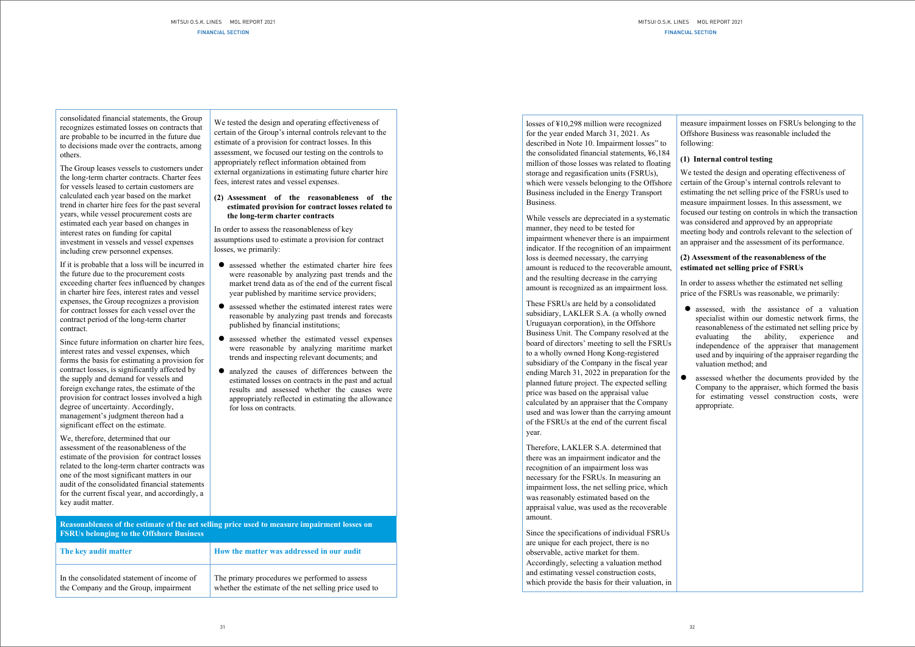consolidated financial statements, the Group recognizes estimated losses on contracts that are probable to be incurred in the future due to decisions made over the contracts, among others.

The Group leases vessels to customers under the long-term charter contracts. Charter fees for vessels leased to certain customers are calculated each year based on the market trend in charter hire fees for the past several years, while vessel procurement costs are estimated each year based on changes in interest rates on funding for capital investment in vessels and vessel expenses including crew personnel expenses.

Since future information on charter hire fees, interest rates and vessel expenses, which forms the basis for estimating a provision for contract losses, is significantly affected by the supply and demand for vessels and foreign exchange rates, the estimate of the provision for contract losses involved a high degree of uncertainty. Accordingly, management's judgment thereon had a significant effect on the estimate.

If it is probable that a loss will be incurred in the future due to the procurement costs exceeding charter fees influenced by changes in charter hire fees, interest rates and vessel expenses, the Group recognizes a provision for contract losses for each vessel over the contract period of the long-term charter contract.

We, therefore, determined that our assessment of the reasonableness of the estimate of the provision for contract losses related to the long-term charter contracts was one of the most significant matters in our audit of the consolidated financial statements for the current fiscal year, and accordingly, a key audit matter.

We tested the design and operating effectiveness of certain of the Group's internal controls relevant to the estimate of a provision for contract losses. In this assessment, we focused our testing on the controls to appropriately reflect information obtained from external organizations in estimating future charter hire fees, interest rates and vessel expenses.

# **(2) Assessment of the reasonableness of the estimated provision for contract losses related to the long-term charter contracts**

In order to assess the reasonableness of key assumptions used to estimate a provision for contract losses, we primarily:

- assessed whether the estimated charter hire fees were reasonable by analyzing past trends and the market trend data as of the end of the current fiscal year published by maritime service providers;
- assessed whether the estimated interest rates were reasonable by analyzing past trends and forecasts published by financial institutions;
- assessed whether the estimated vessel expenses were reasonable by analyzing maritime market trends and inspecting relevant documents; and
- analyzed the causes of differences between the estimated losses on contracts in the past and actual results and assessed whether the causes were appropriately reflected in estimating the allowance for loss on contracts.

**Reasonableness of the estimate of the net selling price used to measure impairment losses on FSRUs belonging to the Offshore Business** 

- assessed, with the assistance of a valuation specialist within our domestic network firms, the reasonableness of the estimated net selling price by evaluating the ability, experience and independence of the appraiser that management used and by inquiring of the appraiser regarding the valuation method; and
	- assessed whether the documents provided by the Company to the appraiser, which formed the basis for estimating vessel construction costs, were appropriate.

| The key audit matter                       | How the matter was addressed in our audit             |
|--------------------------------------------|-------------------------------------------------------|
| In the consolidated statement of income of | The primary procedures we performed to assess         |
| the Company and the Group, impairment      | whether the estimate of the net selling price used to |

losses of ¥10,298 million were recognized for the year ended March 31, 2021. As described in Note 10. Impairment losses" to the consolidated financial statements, ¥6,184 million of those losses was related to floating storage and regasification units (FSRUs), which were vessels belonging to the Offshore Business included in the Energy Transport Business.

While vessels are depreciated in a systematic manner, they need to be tested for impairment whenever there is an impairment indicator. If the recognition of an impairment loss is deemed necessary, the carrying amount is reduced to the recoverable amount, and the resulting decrease in the carrying amount is recognized as an impairment loss.

These FSRUs are held by a consolidated subsidiary, LAKLER S.A. (a wholly owned Uruguayan corporation), in the Offshore Business Unit. The Company resolved at the board of directors' meeting to sell the FSRUs to a wholly owned Hong Kong-registered subsidiary of the Company in the fiscal year ending March 31, 2022 in preparation for the planned future project. The expected selling price was based on the appraisal value calculated by an appraiser that the Company used and was lower than the carrying amount of the FSRUs at the end of the current fiscal year.

Therefore, LAKLER S.A. determined that there was an impairment indicator and the recognition of an impairment loss was necessary for the FSRUs. In measuring an impairment loss, the net selling price, which was reasonably estimated based on the appraisal value, was used as the recoverable amount.

Since the specifications of individual FSRUs are unique for each project, there is no observable, active market for them. Accordingly, selecting a valuation method and estimating vessel construction costs, which provide the basis for their valuation, in measure impairment losses on FSRUs belonging to the Offshore Business was reasonable included the following:

# **(1) Internal control testing**

We tested the design and operating effectiveness of certain of the Group's internal controls relevant to estimating the net selling price of the FSRUs used to measure impairment losses. In this assessment, we focused our testing on controls in which the transaction was considered and approved by an appropriate meeting body and controls relevant to the selection of an appraiser and the assessment of its performance.

# **(2) Assessment of the reasonableness of the estimated net selling price of FSRUs**

In order to assess whether the estimated net selling price of the FSRUs was reasonable, we primarily: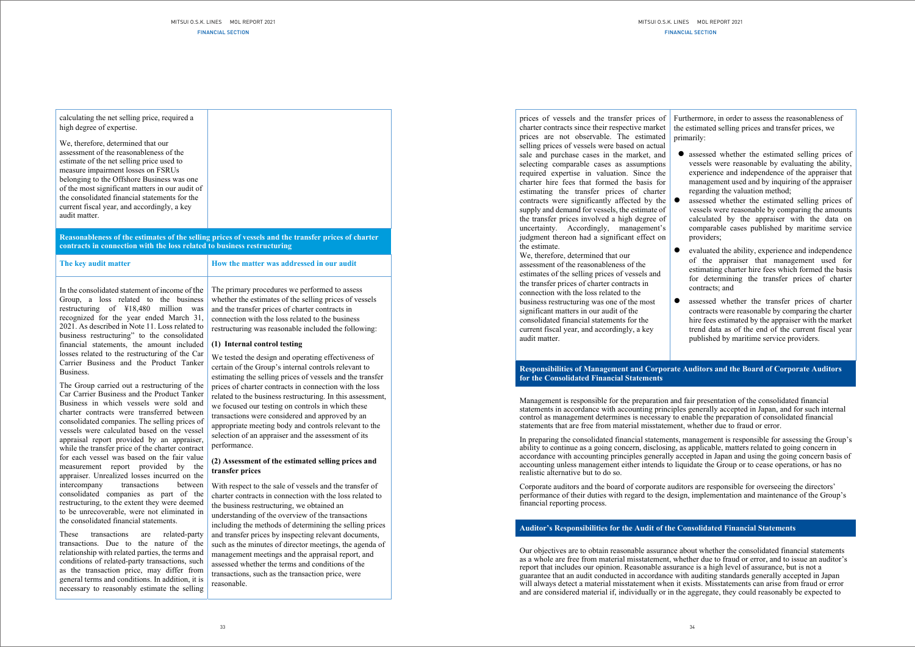calculating the net selling price, required a high degree of expertise.

We, therefore, determined that our assessment of the reasonableness of the estimate of the net selling price used to measure impairment losses on FSRUs belonging to the Offshore Business was one of the most significant matters in our audit of the consolidated financial statements for the current fiscal year, and accordingly, a key audit matter.

**Reasonableness of the estimates of the selling prices of vessels and the transfer prices of charter contracts in connection with the loss related to business restructuring** 

| The key audit matter | How the matter was addressed in our audit                                                                |  |  |  |  |
|----------------------|----------------------------------------------------------------------------------------------------------|--|--|--|--|
|                      | In the consolidated statement of income of the $\parallel$ The primary procedures we performed to assess |  |  |  |  |

In the consolidated statement of income of the Group, a loss related to the business restructuring of ¥18,480 million was recognized for the year ended March 31, 2021. As described in Note 11. Loss related to business restructuring" to the consolidated financial statements, the amount included losses related to the restructuring of the Car Carrier Business and the Product Tanker Business.

The Group carried out a restructuring of the Car Carrier Business and the Product Tanker Business in which vessels were sold and charter contracts were transferred between consolidated companies. The selling prices of vessels were calculated based on the vessel appraisal report provided by an appraiser, while the transfer price of the charter contract for each vessel was based on the fair value measurement report provided by the appraiser. Unrealized losses incurred on the intercompany transactions between consolidated companies as part of the restructuring, to the extent they were deemed to be unrecoverable, were not eliminated in the consolidated financial statements.

These transactions are related-party transactions. Due to the nature of the relationship with related parties, the terms and conditions of related-party transactions, such as the transaction price, may differ from general terms and conditions. In addition, it is necessary to reasonably estimate the selling

The primary procedures we performed to assess whether the estimates of the selling prices of vessels and the transfer prices of charter contracts in connection with the loss related to the business restructuring was reasonable included the following:

# **(1) Internal control testing**

• assessed whether the estimated selling prices of vessels were reasonable by evaluating the ability, experience and independence of the appraiser that management used and by inquiring of the appraiser regarding the valuation method;

We tested the design and operating effectiveness of certain of the Group's internal controls relevant to estimating the selling prices of vessels and the transfer prices of charter contracts in connection with the loss related to the business restructuring. In this assessment, we focused our testing on controls in which these transactions were considered and approved by an appropriate meeting body and controls relevant to the selection of an appraiser and the assessment of its performance.

# **(2) Assessment of the estimated selling prices and transfer prices**

With respect to the sale of vessels and the transfer of charter contracts in connection with the loss related to the business restructuring, we obtained an understanding of the overview of the transactions including the methods of determining the selling prices and transfer prices by inspecting relevant documents, such as the minutes of director meetings, the agenda of management meetings and the appraisal report, and assessed whether the terms and conditions of the transactions, such as the transaction price, were reasonable.

prices of vessels and the transfer prices of Furthermore, in order to assess the reasonableness of charter contracts since their respective market prices are not observable. The estimated selling prices of vessels were based on actual sale and purchase cases in the market, and selecting comparable cases as assumptions required expertise in valuation. Since the charter hire fees that formed the basis for estimating the transfer prices of charter contracts were significantly affected by the supply and demand for vessels, the estimate of the transfer prices involved a high degree of uncertainty. Accordingly, management's judgment thereon had a significant effect on the estimate.

We, therefore, determined that our assessment of the reasonableness of the estimates of the selling prices of vessels and the transfer prices of charter contracts in connection with the loss related to the business restructuring was one of the most significant matters in our audit of the consolidated financial statements for the current fiscal year, and accordingly, a key audit matter.

the estimated selling prices and transfer prices, we primarily:

 assessed whether the estimated selling prices of vessels were reasonable by comparing the amounts calculated by the appraiser with the data on comparable cases published by maritime service providers;

 evaluated the ability, experience and independence of the appraiser that management used for estimating charter hire fees which formed the basis for determining the transfer prices of charter contracts; and

 assessed whether the transfer prices of charter contracts were reasonable by comparing the charter hire fees estimated by the appraiser with the market trend data as of the end of the current fiscal year published by maritime service providers.

**Responsibilities of Management and Corporate Auditors and the Board of Corporate Auditors for the Consolidated Financial Statements**

Management is responsible for the preparation and fair presentation of the consolidated financial statements in accordance with accounting principles generally accepted in Japan, and for such internal control as management determines is necessary to enable the preparation of consolidated financial statements that are free from material misstatement, whether due to fraud or error.

In preparing the consolidated financial statements, management is responsible for assessing the Group's ability to continue as a going concern, disclosing, as applicable, matters related to going concern in accordance with accounting principles generally accepted in Japan and using the going concern basis of accounting unless management either intends to liquidate the Group or to cease operations, or has no realistic alternative but to do so.

Corporate auditors and the board of corporate auditors are responsible for overseeing the directors' performance of their duties with regard to the design, implementation and maintenance of the Group's financial reporting process.

# **Auditor's Responsibilities for the Audit of the Consolidated Financial Statements**

Our objectives are to obtain reasonable assurance about whether the consolidated financial statements as a whole are free from material misstatement, whether due to fraud or error, and to issue an auditor's report that includes our opinion. Reasonable assurance is a high level of assurance, but is not a guarantee that an audit conducted in accordance with auditing standards generally accepted in Japan will always detect a material misstatement when it exists. Misstatements can arise from fraud or error and are considered material if, individually or in the aggregate, they could reasonably be expected to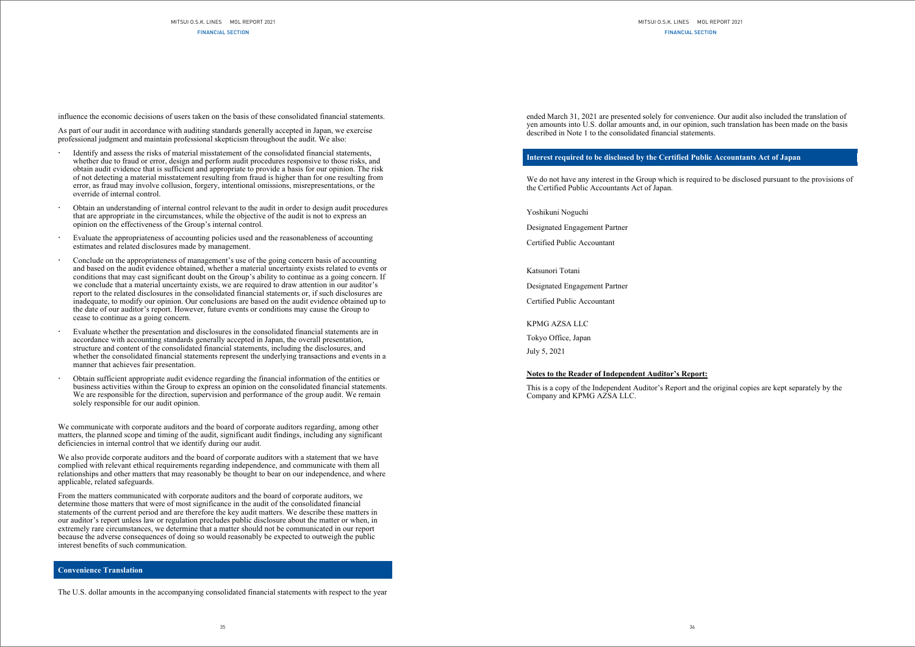influence the economic decisions of users taken on the basis of these consolidated financial statements.

As part of our audit in accordance with auditing standards generally accepted in Japan, we exercise professional judgment and maintain professional skepticism throughout the audit. We also:

- Identify and assess the risks of material misstatement of the consolidated financial statements, whether due to fraud or error, design and perform audit procedures responsive to those risks, and obtain audit evidence that is sufficient and appropriate to provide a basis for our opinion. The risk of not detecting a material misstatement resulting from fraud is higher than for one resulting from error, as fraud may involve collusion, forgery, intentional omissions, misrepresentations, or the override of internal control.
- Obtain an understanding of internal control relevant to the audit in order to design audit procedures that are appropriate in the circumstances, while the objective of the audit is not to express an opinion on the effectiveness of the Group's internal control.
- Evaluate the appropriateness of accounting policies used and the reasonableness of accounting estimates and related disclosures made by management.
- Conclude on the appropriateness of management's use of the going concern basis of accounting and based on the audit evidence obtained, whether a material uncertainty exists related to events or conditions that may cast significant doubt on the Group's ability to continue as a going concern. If we conclude that a material uncertainty exists, we are required to draw attention in our auditor's report to the related disclosures in the consolidated financial statements or, if such disclosures are inadequate, to modify our opinion. Our conclusions are based on the audit evidence obtained up to the date of our auditor's report. However, future events or conditions may cause the Group to cease to continue as a going concern.
- Evaluate whether the presentation and disclosures in the consolidated financial statements are in accordance with accounting standards generally accepted in Japan, the overall presentation, structure and content of the consolidated financial statements, including the disclosures, and whether the consolidated financial statements represent the underlying transactions and events in a manner that achieves fair presentation.
- Obtain sufficient appropriate audit evidence regarding the financial information of the entities or business activities within the Group to express an opinion on the consolidated financial statements. We are responsible for the direction, supervision and performance of the group audit. We remain solely responsible for our audit opinion.

We communicate with corporate auditors and the board of corporate auditors regarding, among other matters, the planned scope and timing of the audit, significant audit findings, including any significant deficiencies in internal control that we identify during our audit.

We also provide corporate auditors and the board of corporate auditors with a statement that we have complied with relevant ethical requirements regarding independence, and communicate with them all relationships and other matters that may reasonably be thought to bear on our independence, and where applicable, related safeguards.

From the matters communicated with corporate auditors and the board of corporate auditors, we determine those matters that were of most significance in the audit of the consolidated financial statements of the current period and are therefore the key audit matters. We describe these matters in our auditor's report unless law or regulation precludes public disclosure about the matter or when, in extremely rare circumstances, we determine that a matter should not be communicated in our report because the adverse consequences of doing so would reasonably be expected to outweigh the public interest benefits of such communication.

# **Convenience Translation**

The U.S. dollar amounts in the accompanying consolidated financial statements with respect to the year

ended March 31, 2021 are presented solely for convenience. Our audit also included the translation of yen amounts into U.S. dollar amounts and, in our opinion, such translation has been made on the basis described in Note 1 to the consolidated financial statements.

# **Interest required to be disclosed by the Certified Public Accountants Act of Japan**

We do not have any interest in the Group which is required to be disclosed pursuant to the provisions of the Certified Public Accountants Act of Japan.

Yoshikuni Noguchi

Designated Engagement Partner

Certified Public Accountant

### Katsunori Totani

Designated Engagement Partner

Certified Public Accountant

### KPMG AZSA LLC

Tokyo Office, Japan

July 5, 2021

## **Notes to the Reader of Independent Auditor's Report:**

This is a copy of the Independent Auditor's Report and the original copies are kept separately by the Company and KPMG AZSA LLC.